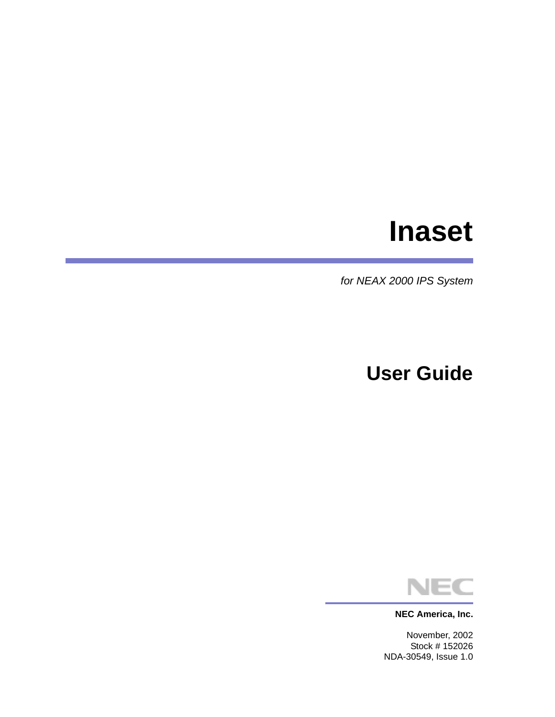# **Inaset**

for NEAX 2000 IPS System

**User Guide**



**NEC America, Inc.**

November, 2002 Stock # 152026 NDA-30549, Issue 1.0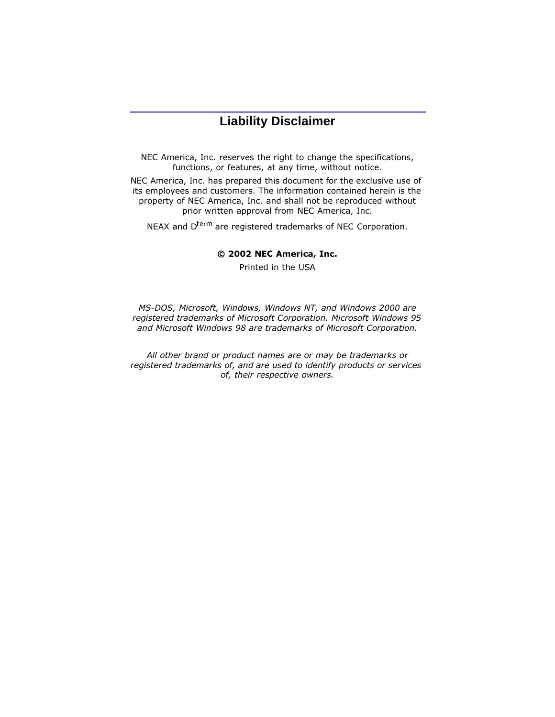# **Liability Disclaimer**

NEC America, Inc. reserves the right to change the specifications, functions, or features, at any time, without notice.

NEC America, Inc. has prepared this document for the exclusive use of its employees and customers. The information contained herein is the property of NEC America, Inc. and shall not be reproduced without prior written approval from NEC America, Inc.

NEAX and D<sup>term</sup> are registered trademarks of NEC Corporation.

#### © 2002 NEC America, Inc.

Printed in the USA

MS-DOS, Microsoft, Windows, Windows NT, and Windows 2000 are registered trademarks of Microsoft Corporation. Microsoft Windows 95 and Microsoft Windows 98 are trademarks of Microsoft Corporation.

All other brand or product names are or may be trademarks or registered trademarks of, and are used to identify products or services of, their respective owners.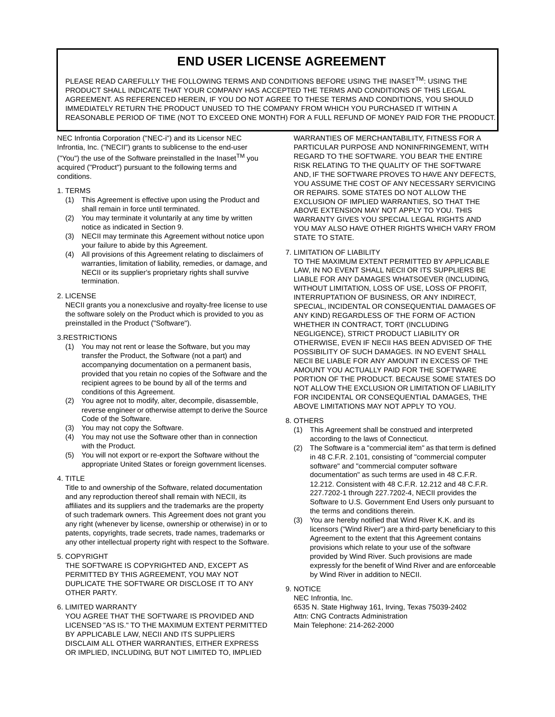# **END USER LICENSE AGREEMENT**

PLEASE READ CAREFULLY THE FOLLOWING TERMS AND CONDITIONS BEFORE USING THE INASET<sup>TM</sup>: USING THE PRODUCT SHALL INDICATE THAT YOUR COMPANY HAS ACCEPTED THE TERMS AND CONDITIONS OF THIS LEGAL AGREEMENT. AS REFERENCED HEREIN, IF YOU DO NOT AGREE TO THESE TERMS AND CONDITIONS, YOU SHOULD IMMEDIATELY RETURN THE PRODUCT UNUSED TO THE COMPANY FROM WHICH YOU PURCHASED IT WITHIN A REASONABLE PERIOD OF TIME (NOT TO EXCEED ONE MONTH) FOR A FULL REFUND OF MONEY PAID FOR THE PRODUCT.

NEC Infrontia Corporation ("NEC-i") and its Licensor NEC Infrontia, Inc. ("NECII") grants to sublicense to the end-user

("You") the use of the Software preinstalled in the Inaset<sup>TM</sup> you acquired ("Product") pursuant to the following terms and conditions.

#### 1. TERMS

- (1) This Agreement is effective upon using the Product and shall remain in force until terminated.
- (2) You may terminate it voluntarily at any time by written notice as indicated in Section 9.
- (3) NECII may terminate this Agreement without notice upon your failure to abide by this Agreement.
- (4) All provisions of this Agreement relating to disclaimers of warranties, limitation of liability, remedies, or damage, and NECII or its supplier's proprietary rights shall survive termination.

#### 2. LICENSE

NECII grants you a nonexclusive and royalty-free license to use the software solely on the Product which is provided to you as preinstalled in the Product ("Software").

#### 3.RESTRICTIONS

- (1) You may not rent or lease the Software, but you may transfer the Product, the Software (not a part) and accompanying documentation on a permanent basis, provided that you retain no copies of the Software and the recipient agrees to be bound by all of the terms and conditions of this Agreement.
- (2) You agree not to modify, alter, decompile, disassemble, reverse engineer or otherwise attempt to derive the Source Code of the Software.
- (3) You may not copy the Software.
- (4) You may not use the Software other than in connection with the Product.
- (5) You will not export or re-export the Software without the appropriate United States or foreign government licenses.
- 4. TITLE

Title to and ownership of the Software, related documentation and any reproduction thereof shall remain with NECII, its affiliates and its suppliers and the trademarks are the property of such trademark owners. This Agreement does not grant you any right (whenever by license, ownership or otherwise) in or to patents, copyrights, trade secrets, trade names, trademarks or any other intellectual property right with respect to the Software.

#### 5. COPYRIGHT

THE SOFTWARE IS COPYRIGHTED AND, EXCEPT AS PERMITTED BY THIS AGREEMENT, YOU MAY NOT DUPLICATE THE SOFTWARE OR DISCLOSE IT TO ANY OTHER PARTY.

#### 6. LIMITED WARRANTY

YOU AGREE THAT THE SOFTWARE IS PROVIDED AND LICENSED "AS IS." TO THE MAXIMUM EXTENT PERMITTED BY APPLICABLE LAW, NECII AND ITS SUPPLIERS DISCLAIM ALL OTHER WARRANTIES, EITHER EXPRESS OR IMPLIED, INCLUDING, BUT NOT LIMITED TO, IMPLIED

WARRANTIES OF MERCHANTABILITY, FITNESS FOR A PARTICULAR PURPOSE AND NONINFRINGEMENT, WITH REGARD TO THE SOFTWARE. YOU BEAR THE ENTIRE RISK RELATING TO THE QUALITY OF THE SOFTWARE AND, IF THE SOFTWARE PROVES TO HAVE ANY DEFECTS, YOU ASSUME THE COST OF ANY NECESSARY SERVICING OR REPAIRS. SOME STATES DO NOT ALLOW THE EXCLUSION OF IMPLIED WARRANTIES, SO THAT THE ABOVE EXTENSION MAY NOT APPLY TO YOU. THIS WARRANTY GIVES YOU SPECIAL LEGAL RIGHTS AND YOU MAY ALSO HAVE OTHER RIGHTS WHICH VARY FROM STATE TO STATE.

#### 7. LIMITATION OF LIABILITY

TO THE MAXIMUM EXTENT PERMITTED BY APPLICABLE LAW, IN NO EVENT SHALL NECII OR ITS SUPPLIERS BE LIABLE FOR ANY DAMAGES WHATSOEVER (INCLUDING, WITHOUT LIMITATION, LOSS OF USE, LOSS OF PROFIT, INTERRUPTATION OF BUSINESS, OR ANY INDIRECT, SPECIAL, INCIDENTAL OR CONSEQUENTIAL DAMAGES OF ANY KIND) REGARDLESS OF THE FORM OF ACTION WHETHER IN CONTRACT, TORT (INCLUDING NEGLIGENCE), STRICT PRODUCT LIABILITY OR OTHERWISE, EVEN IF NECII HAS BEEN ADVISED OF THE POSSIBILITY OF SUCH DAMAGES. IN NO EVENT SHALL NECII BE LIABLE FOR ANY AMOUNT IN EXCESS OF THE AMOUNT YOU ACTUALLY PAID FOR THE SOFTWARE PORTION OF THE PRODUCT. BECAUSE SOME STATES DO NOT ALLOW THE EXCLUSION OR LIMITATION OF LIABILITY FOR INCIDENTAL OR CONSEQUENTIAL DAMAGES, THE ABOVE LIMITATIONS MAY NOT APPLY TO YOU.

- 8. OTHERS
	- (1) This Agreement shall be construed and interpreted according to the laws of Connecticut.
	- (2) The Software is a "commercial item" as that term is defined in 48 C.F.R. 2.101, consisting of "commercial computer software" and "commercial computer software documentation" as such terms are used in 48 C.F.R. 12.212. Consistent with 48 C.F.R. 12.212 and 48 C.F.R. 227.7202-1 through 227.7202-4, NECII provides the Software to U.S. Government End Users only pursuant to the terms and conditions therein.
	- (3) You are hereby notified that Wind River K.K. and its licensors ("Wind River") are a third-party beneficiary to this Agreement to the extent that this Agreement contains provisions which relate to your use of the software provided by Wind River. Such provisions are made expressly for the benefit of Wind River and are enforceable by Wind River in addition to NECII.
- 9. NOTICE

NEC Infrontia, Inc. 6535 N. State Highway 161, Irving, Texas 75039-2402 Attn: CNG Contracts Administration Main Telephone: 214-262-2000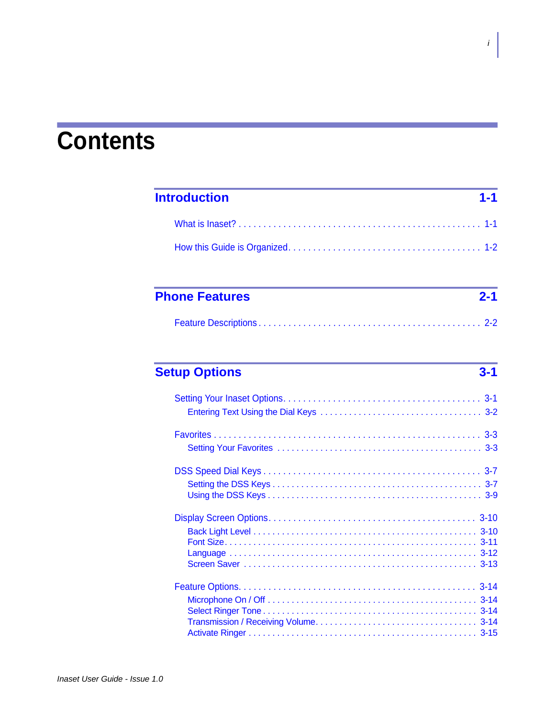# **Contents**

| <b>Introduction</b> |  |  | $1 - 1$ |
|---------------------|--|--|---------|
|                     |  |  |         |
|                     |  |  |         |

| <b>Phone Features</b> | $2 - 1$ |
|-----------------------|---------|
|                       |         |

# **[Setup Options 3-1](#page-13-0)** [Setting Your Inaset Options. . . . . . . . . . . . . . . . . . . . . . . . . . . . . . . . . . . . . . . . 3-1](#page-13-1) [Entering Text Using the Dial Keys . . . . . . . . . . . . . . . . . . . . . . . . . . . . . . . . . . 3-2](#page-14-0) [Favorites . . . . . . . . . . . . . . . . . . . . . . . . . . . . . . . . . . . . . . . . . . . . . . . . . . . . . . 3-3](#page-15-0) [Setting Your Favorites . . . . . . . . . . . . . . . . . . . . . . . . . . . . . . . . . . . . . . . . . . . 3-3](#page-15-1) [DSS Speed Dial Keys . . . . . . . . . . . . . . . . . . . . . . . . . . . . . . . . . . . . . . . . . . . . 3-7](#page-19-0) [Setting the DSS Keys . . . . . . . . . . . . . . . . . . . . . . . . . . . . . . . . . . . . . . . . . . . . 3-7](#page-19-1) [Using the DSS Keys . . . . . . . . . . . . . . . . . . . . . . . . . . . . . . . . . . . . . . . . . . . . . 3-9](#page-21-0) [Display Screen Options. . . . . . . . . . . . . . . . . . . . . . . . . . . . . . . . . . . . . . . . . . 3-10](#page-22-0) [Back Light Level . . . . . . . . . . . . . . . . . . . . . . . . . . . . . . . . . . . . . . . . . . . . . . . 3-10](#page-22-1) [Font Size. . . . . . . . . . . . . . . . . . . . . . . . . . . . . . . . . . . . . . . . . . . . . . . . . . . . . 3-11](#page-23-0) [Language . . . . . . . . . . . . . . . . . . . . . . . . . . . . . . . . . . . . . . . . . . . . . . . . . . . . 3-12](#page-24-0) [Screen Saver . . . . . . . . . . . . . . . . . . . . . . . . . . . . . . . . . . . . . . . . . . . . . . . . . 3-13](#page-25-0) [Feature Options. . . . . . . . . . . . . . . . . . . . . . . . . . . . . . . . . . . . . . . . . . . . . . . . 3-14](#page-26-0) [Microphone On / Off . . . . . . . . . . . . . . . . . . . . . . . . . . . . . . . . . . . . . . . . . . . . 3-14](#page-26-1) [Select Ringer Tone . . . . . . . . . . . . . . . . . . . . . . . . . . . . . . . . . . . . . . . . . . . . . 3-14](#page-26-2) [Transmission / Receiving Volume. . . . . . . . . . . . . . . . . . . . . . . . . . . . . . . . . . 3-14](#page-26-3) [Activate Ringer . . . . . . . . . . . . . . . . . . . . . . . . . . . . . . . . . . . . . . . . . . . . . . . . 3-15](#page-27-0)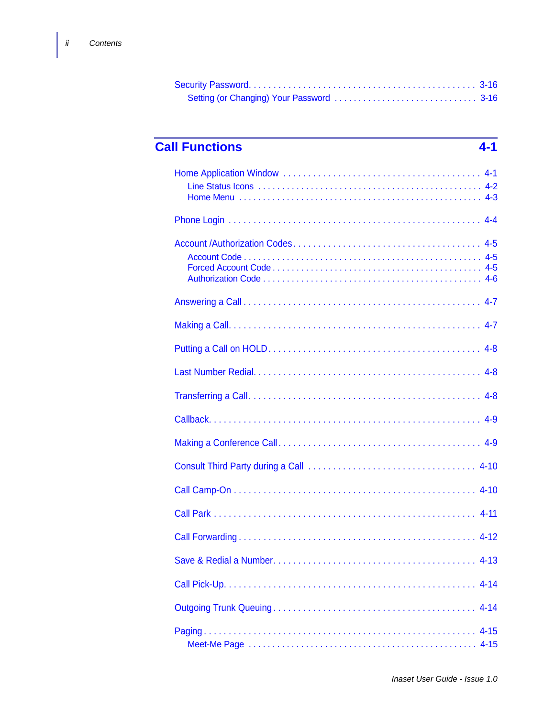# **Call Functions**

 $4-1$ 

| $4 - 8$  |
|----------|
|          |
|          |
|          |
|          |
|          |
| $4 - 11$ |
|          |
|          |
|          |
| $4 - 14$ |
|          |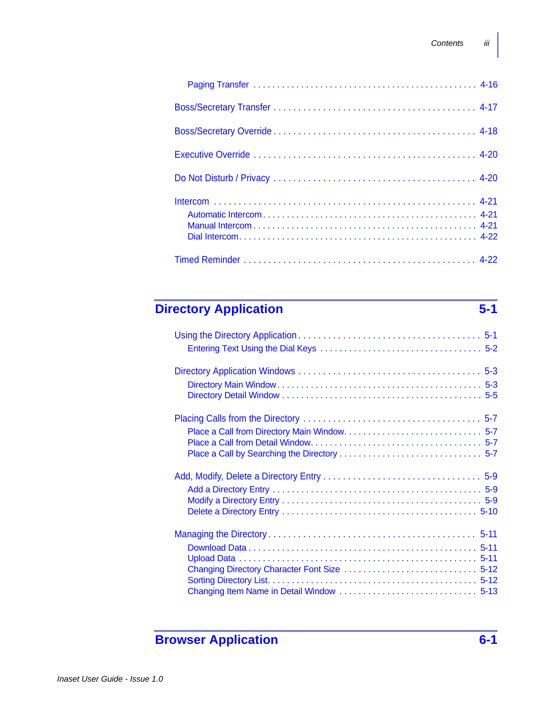# **Directory Application 6-1 5-1**

[Using the Directory Application . . . . . . . . . . . . . . . . . . . . . . . . . . . . . . . . . . . . . 5-1](#page-51-1) [Entering Text Using the Dial Keys . . . . . . . . . . . . . . . . . . . . . . . . . . . . . . . . . . 5-2](#page-52-0) [Directory Application Windows . . . . . . . . . . . . . . . . . . . . . . . . . . . . . . . . . . . . . 5-3](#page-53-0) [Directory Main Window. . . . . . . . . . . . . . . . . . . . . . . . . . . . . . . . . . . . . . . . . . . 5-3](#page-53-1) [Directory Detail Window . . . . . . . . . . . . . . . . . . . . . . . . . . . . . . . . . . . . . . . . . . 5-5](#page-55-0) [Placing Calls from the Directory . . . . . . . . . . . . . . . . . . . . . . . . . . . . . . . . . . . . 5-7](#page-57-0) [Place a Call from Directory Main Window. . . . . . . . . . . . . . . . . . . . . . . . . . . . . 5-7](#page-57-1) [Place a Call from Detail Window. . . . . . . . . . . . . . . . . . . . . . . . . . . . . . . . . . . . 5-7](#page-57-2) [Place a Call by Searching the Directory . . . . . . . . . . . . . . . . . . . . . . . . . . . . . . 5-7](#page-57-3) [Add, Modify, Delete a Directory Entry . . . . . . . . . . . . . . . . . . . . . . . . . . . . . . . . 5-9](#page-59-0) [Add a Directory Entry . . . . . . . . . . . . . . . . . . . . . . . . . . . . . . . . . . . . . . . . . . . . 5-9](#page-59-1) [Modify a Directory Entry . . . . . . . . . . . . . . . . . . . . . . . . . . . . . . . . . . . . . . . . . . 5-9](#page-59-2) [Delete a Directory Entry . . . . . . . . . . . . . . . . . . . . . . . . . . . . . . . . . . . . . . . . . 5-10](#page-60-0) [Managing the Directory . . . . . . . . . . . . . . . . . . . . . . . . . . . . . . . . . . . . . . . . . . 5-11](#page-61-0) [Download Data . . . . . . . . . . . . . . . . . . . . . . . . . . . . . . . . . . . . . . . . . . . . . . . . 5-11](#page-61-1) [Upload Data . . . . . . . . . . . . . . . . . . . . . . . . . . . . . . . . . . . . . . . . . . . . . . . . . . 5-11](#page-61-2) [Changing Directory Character Font Size . . . . . . . . . . . . . . . . . . . . . . . . . . . . 5-12](#page-62-0) [Sorting Directory List. . . . . . . . . . . . . . . . . . . . . . . . . . . . . . . . . . . . . . . . . . . . 5-12](#page-62-1) [Changing Item Name in Detail Window . . . . . . . . . . . . . . . . . . . . . . . . . . . . . 5-13](#page-63-0)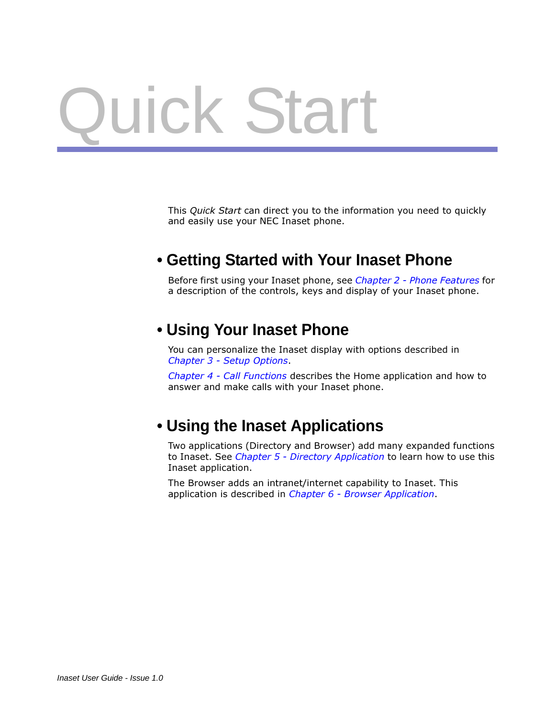# Quick Start

This Quick Start can direct you to the information you need to quickly and easily use your NEC Inaset phone.

# **• Getting Started with Your Inaset Phone**

Before first using your Inaset phone, see Chapter 2 - Phone Features for a description of the controls, keys and display of your Inaset phone.

# • Using Your Inaset Phone

You can personalize the Inaset display with options described in Chapter 3 - Setup Options.

Chapter 4 - Call Functions describes the Home application and how to answer and make calls with your Inaset phone.

# • Using the Inaset Applications

Two applications (Directory and Browser) add many expanded functions to Inaset. See Chapter 5 - Directory Application to learn how to use this Inaset application.

The Browser adds an intranet/internet capability to Inaset. This application is described in *Chapter 6 - Browser Application*.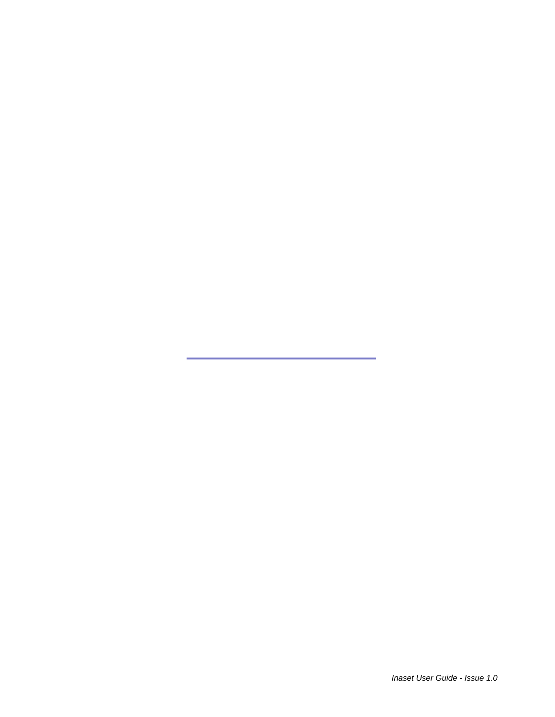Inaset User Guide - Issue 1.0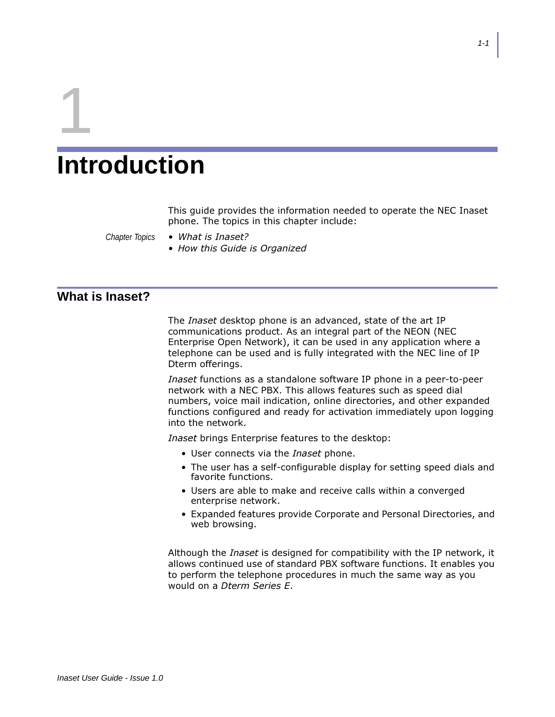# <span id="page-9-0"></span>**Introduction**

This guide provides the information needed to operate the NEC Inaset phone. The topics in this chapter include:

**Chapter Topics** 

- What is Inaset?
- How this Guide is Organized

# <span id="page-9-1"></span>What is Inaset?

The Inaset desktop phone is an advanced, state of the art IP communications product. As an integral part of the NEON (NEC Enterprise Open Network), it can be used in any application where a telephone can be used and is fully integrated with the NEC line of IP Dterm offerings.

Inaset functions as a standalone software IP phone in a peer-to-peer network with a NEC PBX. This allows features such as speed dial numbers, voice mail indication, online directories, and other expanded functions configured and ready for activation immediately upon logging into the network.

Inaset brings Enterprise features to the desktop:

- User connects via the *Inaset* phone.
- The user has a self-configurable display for setting speed dials and favorite functions.
- Users are able to make and receive calls within a converged enterprise network.
- Expanded features provide Corporate and Personal Directories, and web browsing.

Although the *Inaset* is designed for compatibility with the IP network, it allows continued use of standard PBX software functions. It enables you to perform the telephone procedures in much the same way as you would on a Dterm Series F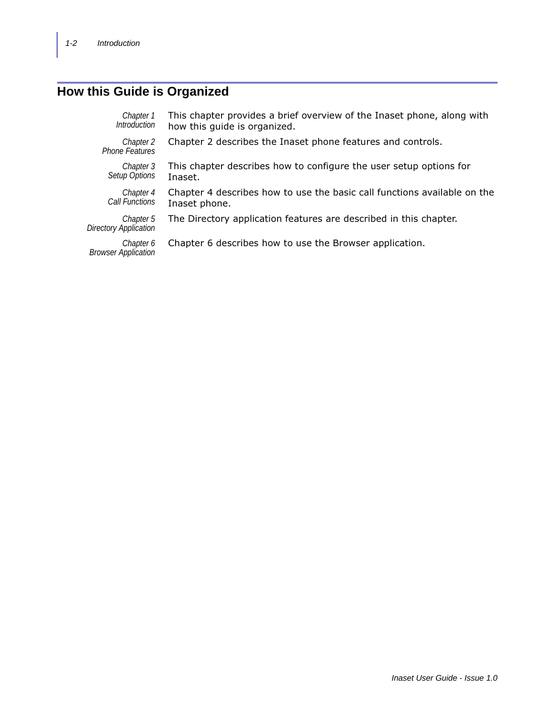# <span id="page-10-0"></span>**How this Guide is Organized**

| Chapter 1                               | This chapter provides a brief overview of the Inaset phone, along with   |
|-----------------------------------------|--------------------------------------------------------------------------|
| Introduction                            | how this quide is organized.                                             |
| Chapter 2<br><b>Phone Features</b>      | Chapter 2 describes the Inaset phone features and controls.              |
| Chapter 3                               | This chapter describes how to configure the user setup options for       |
| Setup Options                           | Inaset.                                                                  |
| Chapter 4                               | Chapter 4 describes how to use the basic call functions available on the |
| <b>Call Functions</b>                   | Inaset phone.                                                            |
| Chapter 5<br>Directory Application      | The Directory application features are described in this chapter.        |
| Chapter 6<br><b>Browser Application</b> | Chapter 6 describes how to use the Browser application.                  |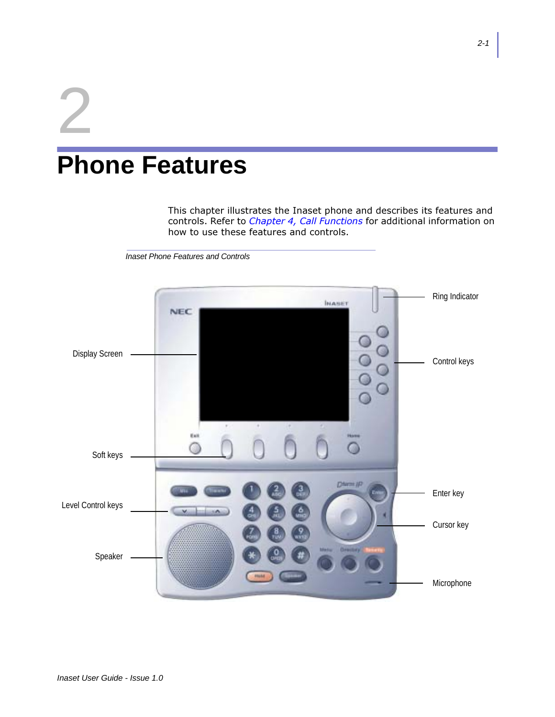2

# <span id="page-11-1"></span><span id="page-11-0"></span>**Phone Features**

This chapter illustrates the Inaset phone and describes its features and controls. Refer to *Chapter 4, Call Functions* for additional information on how to use these features and controls.



Inaset Phone Features and Controls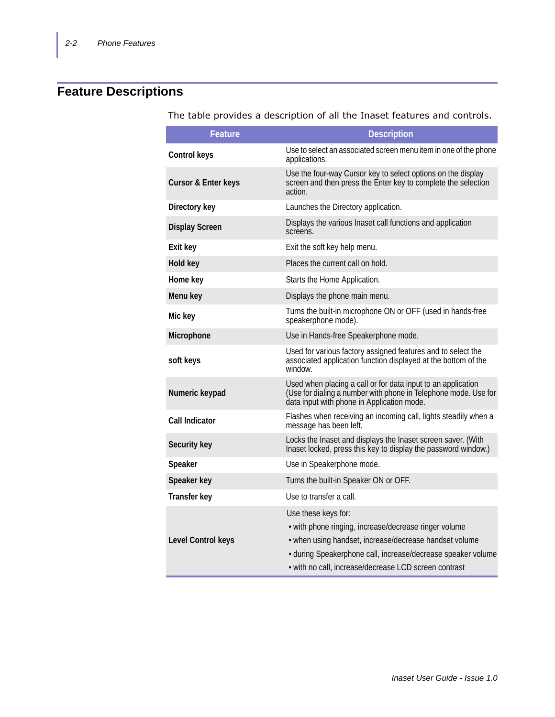# <span id="page-12-0"></span>**Feature Descriptions**

The table provides a description of all the Inaset features and controls.

| <b>Feature</b>                 | <b>Description</b>                                                                                                                                                                                                                                              |
|--------------------------------|-----------------------------------------------------------------------------------------------------------------------------------------------------------------------------------------------------------------------------------------------------------------|
| <b>Control keys</b>            | Use to select an associated screen menu item in one of the phone<br>applications.                                                                                                                                                                               |
| <b>Cursor &amp; Enter keys</b> | Use the four-way Cursor key to select options on the display<br>screen and then press the Enter key to complete the selection<br>action.                                                                                                                        |
| Directory key                  | Launches the Directory application.                                                                                                                                                                                                                             |
| <b>Display Screen</b>          | Displays the various Inaset call functions and application<br>screens.                                                                                                                                                                                          |
| <b>Exit key</b>                | Exit the soft key help menu.                                                                                                                                                                                                                                    |
| <b>Hold key</b>                | Places the current call on hold.                                                                                                                                                                                                                                |
| Home key                       | Starts the Home Application.                                                                                                                                                                                                                                    |
| Menu key                       | Displays the phone main menu.                                                                                                                                                                                                                                   |
| Mic key                        | Turns the built-in microphone ON or OFF (used in hands-free<br>speakerphone mode).                                                                                                                                                                              |
| Microphone                     | Use in Hands-free Speakerphone mode.                                                                                                                                                                                                                            |
| soft keys                      | Used for various factory assigned features and to select the<br>associated application function displayed at the bottom of the<br>window.                                                                                                                       |
| Numeric keypad                 | Used when placing a call or for data input to an application<br>(Use for dialing a number with phone in Telephone mode. Use for<br>data input with phone in Application mode.                                                                                   |
| <b>Call Indicator</b>          | Flashes when receiving an incoming call, lights steadily when a<br>message has been left.                                                                                                                                                                       |
| Security key                   | Locks the Inaset and displays the Inaset screen saver. (With<br>Inaset locked, press this key to display the password window.)                                                                                                                                  |
| <b>Speaker</b>                 | Use in Speakerphone mode.                                                                                                                                                                                                                                       |
| Speaker key                    | Turns the built-in Speaker ON or OFF.                                                                                                                                                                                                                           |
| <b>Transfer key</b>            | Use to transfer a call.                                                                                                                                                                                                                                         |
| <b>Level Control keys</b>      | Use these keys for:<br>· with phone ringing, increase/decrease ringer volume<br>· when using handset, increase/decrease handset volume<br>· during Speakerphone call, increase/decrease speaker volume<br>· with no call, increase/decrease LCD screen contrast |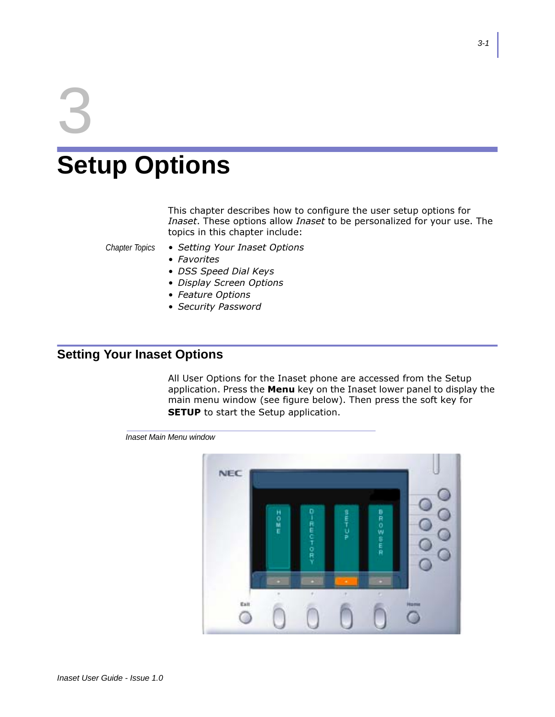# <span id="page-13-2"></span><span id="page-13-0"></span>**Setup Options**

This chapter describes how to configure the user setup options for Inaset. These options allow Inaset to be personalized for your use. The topics in this chapter include:

**Chapter Topics** 

- Setting Your Inaset Options
	- Favorites
	- DSS Speed Dial Keys
	- Display Screen Options
	- Feature Options
	- Security Password

# <span id="page-13-1"></span>**Setting Your Inaset Options**

All User Options for the Inaset phone are accessed from the Setup application. Press the Menu key on the Inaset lower panel to display the main menu window (see figure below). Then press the soft key for **SETUP** to start the Setup application.

**Inaset Main Menu window** 

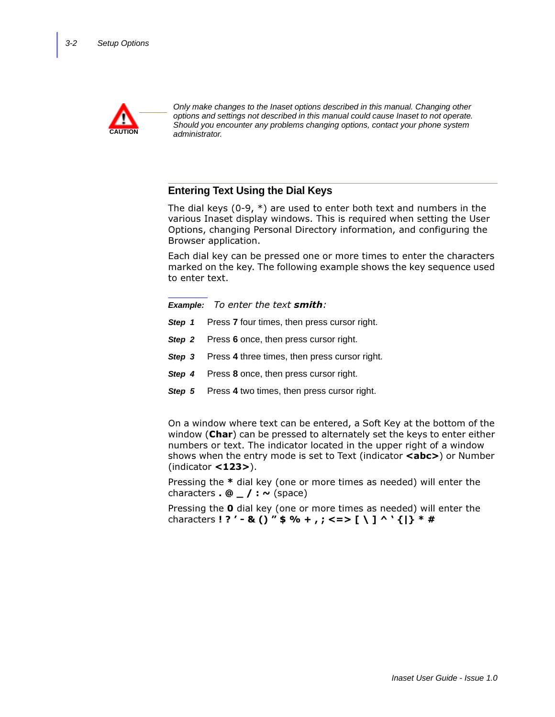

Only make changes to the Inaset options described in this manual. Changing other options and settings not described in this manual could cause Inaset to not operate. Should you encounter any problems changing options, contact your phone system administrator.

## <span id="page-14-0"></span>**Entering Text Using the Dial Keys**

The dial keys (0-9,  $*$ ) are used to enter both text and numbers in the various Inaset display windows. This is required when setting the User Options, changing Personal Directory information, and configuring the Browser application.

Each dial key can be pressed one or more times to enter the characters marked on the key. The following example shows the key sequence used to enter text.

#### Example: To enter the text smith:

- **Step 1** Press **7** four times, then press cursor right.
- **Step 2** Press 6 once, then press cursor right.
- **Step 3** Press 4 three times, then press cursor right.
- **Step 4** Press **8** once, then press cursor right.
- **Step 5** Press 4 two times, then press cursor right.

On a window where text can be entered, a Soft Key at the bottom of the window (Char) can be pressed to alternately set the keys to enter either numbers or text. The indicator located in the upper right of a window shows when the entry mode is set to Text (indicator **<abc>**) or Number  $(indicateor **123**)$ .

Pressing the  $*$  dial key (one or more times as needed) will enter the **characters . @ \_ / : ~** (space)

Pressing the  $\bm{0}$  dial key (one or more times as needed) will enter the **characters ! ? ' - & () " \$ % + , ; <=> [ \ ] ^ ` {|} \* #**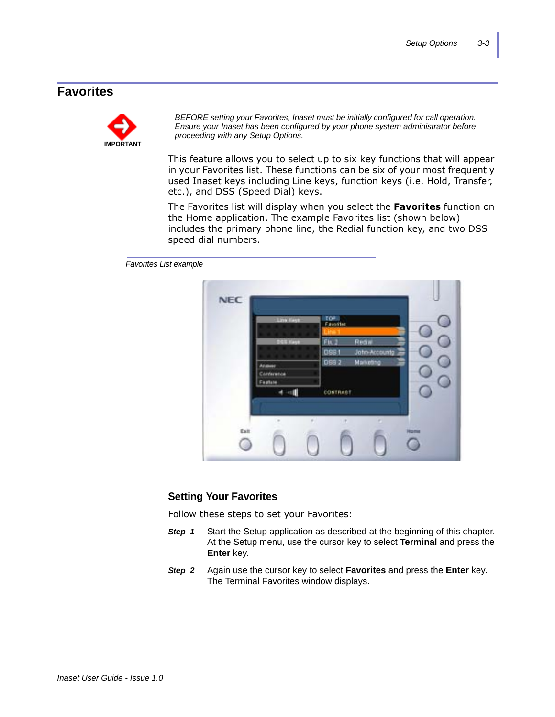# <span id="page-15-0"></span>**Favorites**



BEFORE setting your Favorites, Inaset must be initially configured for call operation. Ensure your Inaset has been configured by your phone system administrator before proceeding with any Setup Options.

This feature allows you to select up to six key functions that will appear in your Favorites list. These functions can be six of your most frequently used Inaset keys including Line keys, function keys (i.e. Hold, Transfer, etc.), and DSS (Speed Dial) keys.

The Favorites list will display when you select the Favorites function on the Home application. The example Favorites list (shown below) includes the primary phone line, the Redial function key, and two DSS speed dial numbers.

Favorites List example



#### <span id="page-15-1"></span>**Setting Your Favorites**

Follow these steps to set your Favorites:

- **Step 1** Start the Setup application as described at the beginning of this chapter. At the Setup menu, use the cursor key to select **Terminal** and press the **Enter** key.
- **Step 2** Again use the cursor key to select **Favorites** and press the **Enter** key. The Terminal Favorites window displays.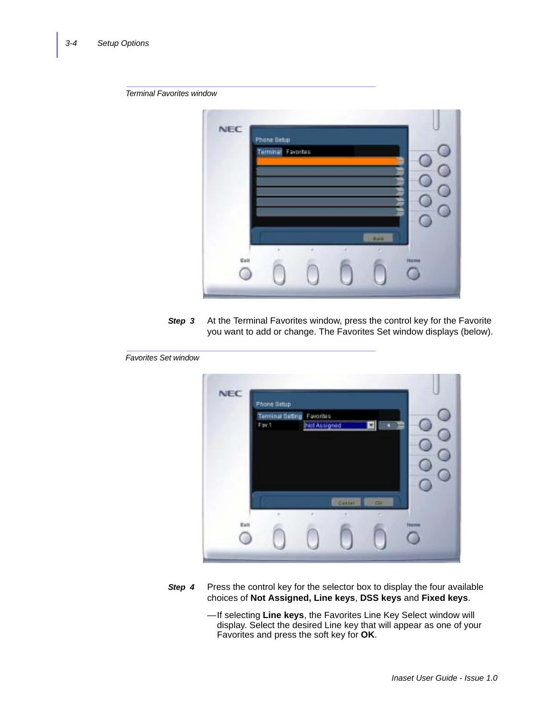

**Step 3** At the Terminal Favorites window, press the control key for the Favorite you want to add or change. The Favorites Set window displays (below).

```
NEC
     Phone Setup
      Terminal Setting Favorites
      Fact
                      Not Assigned
                                            Ξ
                                                  ٠
                                                                   \circCastel ...
Exit
```
- **Step 4** Press the control key for the selector box to display the four available choices of **Not Assigned, Line keys**, **DSS keys** and **Fixed keys**.
	- —If selecting **Line keys**, the Favorites Line Key Select window will display. Select the desired Line key that will appear as one of your Favorites and press the soft key for **OK**.

Favorites Set window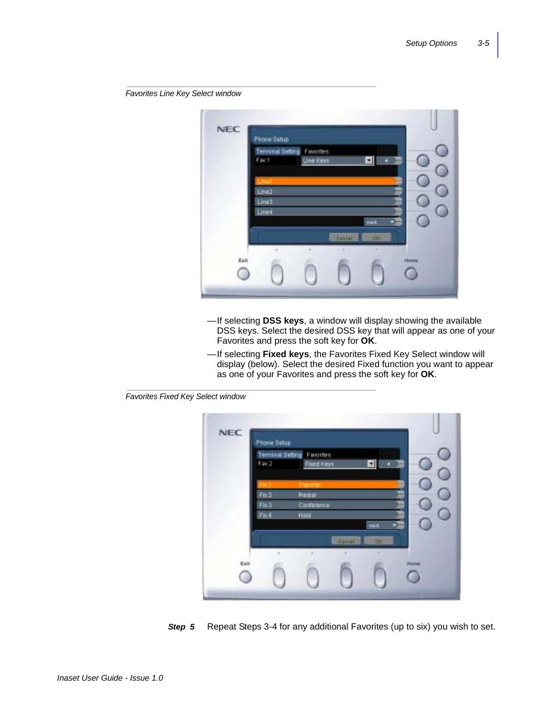- **NEC** Phone Setup **Terminal Setting Favorites** Favil Line Keys Ы Line2 Line3 Line4 Esit
	- —If selecting **DSS keys**, a window will display showing the available DSS keys. Select the desired DSS key that will appear as one of your Favorites and press the soft key for **OK**.
	- —If selecting **Fixed keys**, the Favorites Fixed Key Select window will display (below). Select the desired Fixed function you want to appear as one of your Favorites and press the soft key for **OK**.

Favorites Fixed Key Select window

|      | Phone Setup      |                                                 |               |            |      |
|------|------------------|-------------------------------------------------|---------------|------------|------|
|      | Fav.2            | <b>Terminal Setting Favorites</b><br>Fixed Keys |               |            |      |
|      |                  |                                                 |               |            |      |
|      |                  |                                                 |               |            |      |
|      | Fix <sub>2</sub> | Redal                                           |               |            |      |
|      | Flx 3            | Conference                                      |               |            |      |
|      | Fick             | Hold                                            |               | ned        |      |
|      |                  |                                                 | Cannet        | <b>CHI</b> |      |
|      |                  |                                                 | $\rightarrow$ |            |      |
| Esit |                  |                                                 |               |            | Hame |
|      |                  |                                                 |               |            |      |

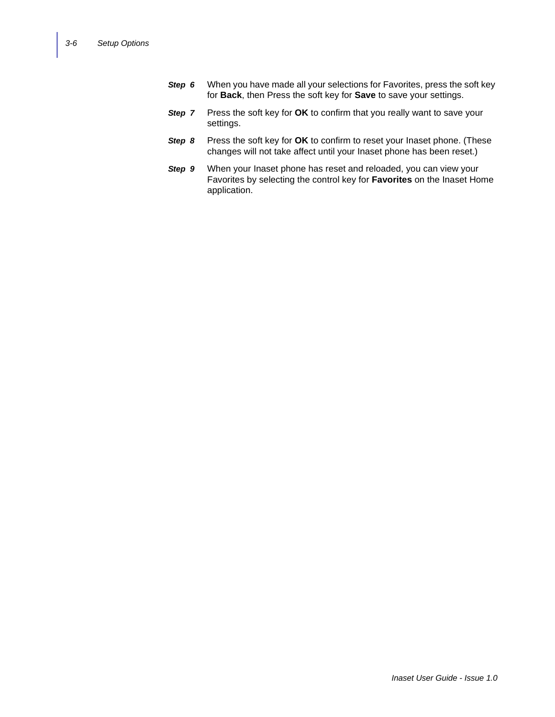- **Step 6** When you have made all your selections for Favorites, press the soft key for **Back**, then Press the soft key for **Save** to save your settings.
- **Step 7** Press the soft key for **OK** to confirm that you really want to save your settings.
- **Step 8** Press the soft key for **OK** to confirm to reset your Inaset phone. (These changes will not take affect until your Inaset phone has been reset.)
- **Step 9** When your Inaset phone has reset and reloaded, you can view your Favorites by selecting the control key for **Favorites** on the Inaset Home application.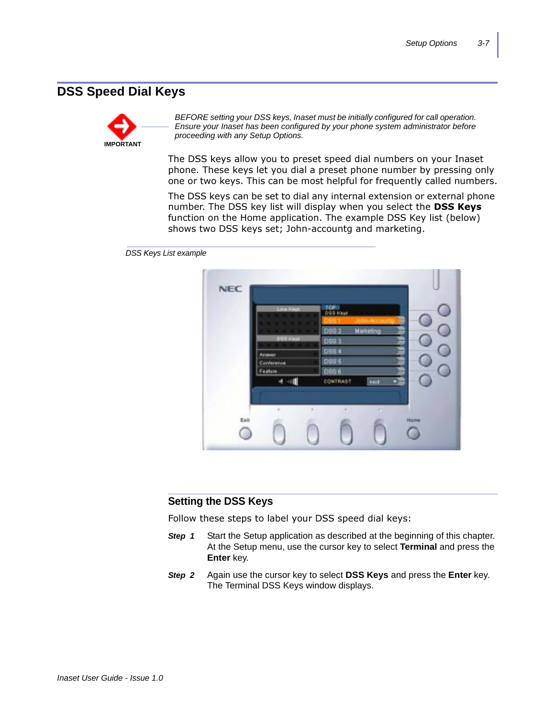# <span id="page-19-0"></span>**DSS Speed Dial Keys**



BEFORE setting your DSS keys, Inaset must be initially configured for call operation. Ensure your Inaset has been configured by your phone system administrator before proceeding with any Setup Options.

The DSS keys allow you to preset speed dial numbers on your Inaset phone. These keys let you dial a preset phone number by pressing only one or two keys. This can be most helpful for frequently called numbers.

The DSS keys can be set to dial any internal extension or external phone number. The DSS key list will display when you select the DSS Keys function on the Home application. The example DSS Key list (below) shows two DSS keys set; John-accountg and marketing.

#### DSS Keys List example



## <span id="page-19-1"></span>**Setting the DSS Keys**

Follow these steps to label your DSS speed dial keys:

- **Step 1** Start the Setup application as described at the beginning of this chapter. At the Setup menu, use the cursor key to select **Terminal** and press the **Enter** key.
- **Step 2** Again use the cursor key to select **DSS Keys** and press the **Enter** key. The Terminal DSS Keys window displays.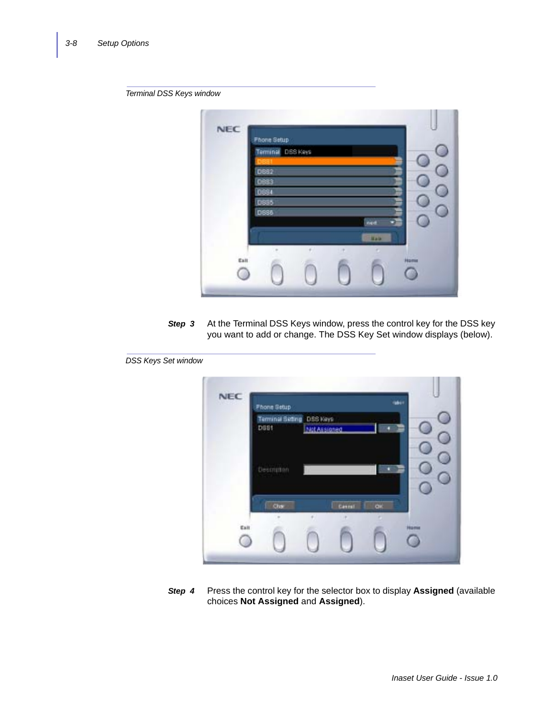

- **Step 3** At the Terminal DSS Keys window, press the control key for the DSS key you want to add or change. The DSS Key Set window displays (below).
	- **NEC** Phone Setup Terminal Setting DSS Keys **DBS1** Mot Assigned  $\sim$ Descriptor ¥ Cox Central El OK Exit
- **Step 4** Press the control key for the selector box to display **Assigned** (available choices **Not Assigned** and **Assigned**).

#### DSS Keys Set window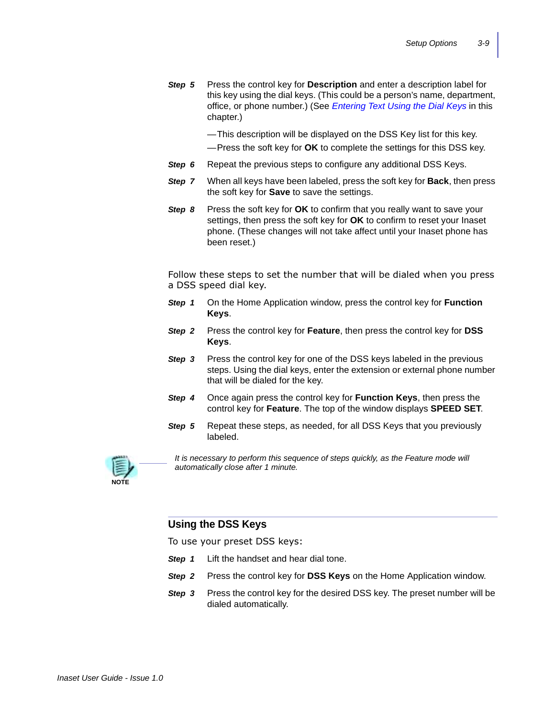- **Step 5** Press the control key for **Description** and enter a description label for this key using the dial keys. (This could be a person's name, department, office, or phone number.) (See *[Entering Text Using the Dial Keys](#page-14-0)* in this chapter.)
	- —This description will be displayed on the DSS Key list for this key.
	- —Press the soft key for **OK** to complete the settings for this DSS key.
- **Step 6** Repeat the previous steps to configure any additional DSS Keys.
- **Step 7** When all keys have been labeled, press the soft key for **Back**, then press the soft key for **Save** to save the settings.
- **Step 8** Press the soft key for **OK** to confirm that you really want to save your settings, then press the soft key for **OK** to confirm to reset your Inaset phone. (These changes will not take affect until your Inaset phone has been reset.)

Follow these steps to set the number that will be dialed when you press a DSS speed dial key.

- **Step 1** On the Home Application window, press the control key for **Function Keys**.
- **Step 2** Press the control key for **Feature**, then press the control key for **DSS Keys**.
- **Step 3** Press the control key for one of the DSS keys labeled in the previous steps. Using the dial keys, enter the extension or external phone number that will be dialed for the key.
- **Step 4** Once again press the control key for **Function Keys**, then press the control key for **Feature**. The top of the window displays **SPEED SET**.
- **Step 5** Repeat these steps, as needed, for all DSS Keys that you previously labeled.



It is necessary to perform this sequence of steps quickly, as the Feature mode will automatically close after 1 minute.

## <span id="page-21-0"></span>**Using the DSS Keys**

To use your preset DSS keys:

- **Step 1** Lift the handset and hear dial tone.
- **Step 2** Press the control key for **DSS Keys** on the Home Application window.
- **Step 3** Press the control key for the desired DSS key. The preset number will be dialed automatically.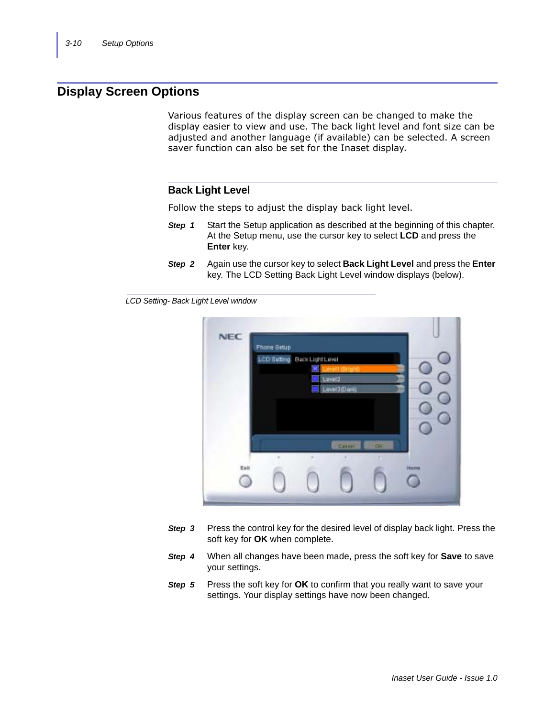# <span id="page-22-0"></span>**Display Screen Options**

Various features of the display screen can be changed to make the display easier to view and use. The back light level and font size can be adjusted and another language (if available) can be selected. A screen saver function can also be set for the Inaset display.

#### <span id="page-22-1"></span>**Back Light Level**

Follow the steps to adjust the display back light level.

- **Step 1** Start the Setup application as described at the beginning of this chapter. At the Setup menu, use the cursor key to select **LCD** and press the **Enter** key.
- **Step 2** Again use the cursor key to select **Back Light Level** and press the **Enter** key. The LCD Setting Back Light Level window displays (below).

LCD Setting- Back Light Level window

| <b>NEC</b> | Phone Setup | LCO Betting Back Light Level | Level2<br>Level3(Dark)  |                |      |
|------------|-------------|------------------------------|-------------------------|----------------|------|
| Esit       |             |                              | Castel<br>$\rightarrow$ | $\overline{C}$ | Hame |

- **Step 3** Press the control key for the desired level of display back light. Press the soft key for **OK** when complete.
- **Step 4** When all changes have been made, press the soft key for **Save** to save your settings.
- **Step 5** Press the soft key for **OK** to confirm that you really want to save your settings. Your display settings have now been changed.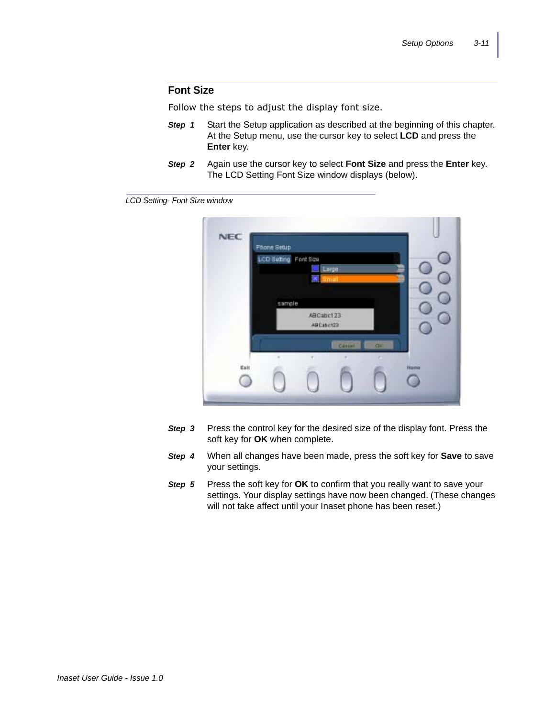# <span id="page-23-0"></span>**Font Size**

Follow the steps to adjust the display font size.

- **Step 1** Start the Setup application as described at the beginning of this chapter. At the Setup menu, use the cursor key to select **LCD** and press the **Enter** key.
- **Step 2** Again use the cursor key to select **Font Size** and press the **Enter** key. The LCD Setting Font Size window displays (below).

LCD Setting- Font Size window

| Cantel<br>œ |
|-------------|
| Hamis       |
|             |

- **Step 3** Press the control key for the desired size of the display font. Press the soft key for **OK** when complete.
- **Step 4** When all changes have been made, press the soft key for **Save** to save your settings.
- **Step 5** Press the soft key for OK to confirm that you really want to save your settings. Your display settings have now been changed. (These changes will not take affect until your Inaset phone has been reset.)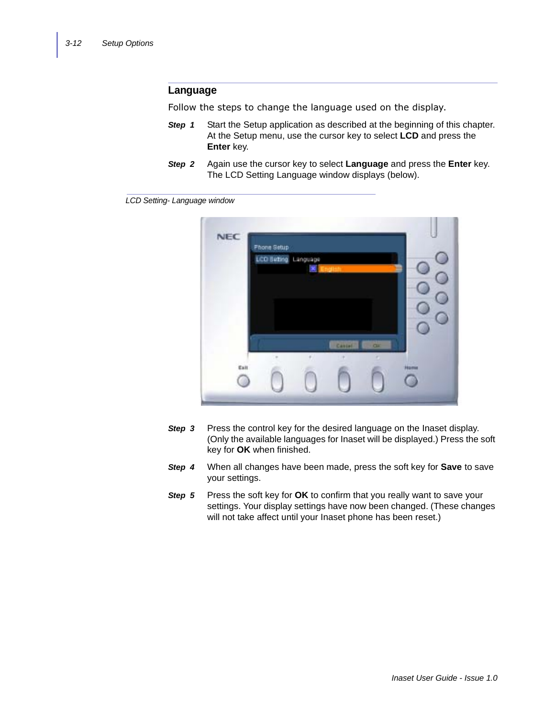#### <span id="page-24-0"></span>**Language**

Follow the steps to change the language used on the display.

- **Step 1** Start the Setup application as described at the beginning of this chapter. At the Setup menu, use the cursor key to select **LCD** and press the **Enter** key.
- **Step 2** Again use the cursor key to select **Language** and press the **Enter** key. The LCD Setting Language window displays (below).

#### LCD Setting- Language window

|      | Phone Setup<br>LCO Beting Language |                         |   |       |
|------|------------------------------------|-------------------------|---|-------|
|      |                                    |                         |   |       |
|      |                                    | Castel<br>$\rightarrow$ | œ |       |
| Esit |                                    |                         |   | Hamid |

- **Step 3** Press the control key for the desired language on the Inaset display. (Only the available languages for Inaset will be displayed.) Press the soft key for **OK** when finished.
- **Step 4** When all changes have been made, press the soft key for **Save** to save your settings.
- **Step 5** Press the soft key for **OK** to confirm that you really want to save your settings. Your display settings have now been changed. (These changes will not take affect until your Inaset phone has been reset.)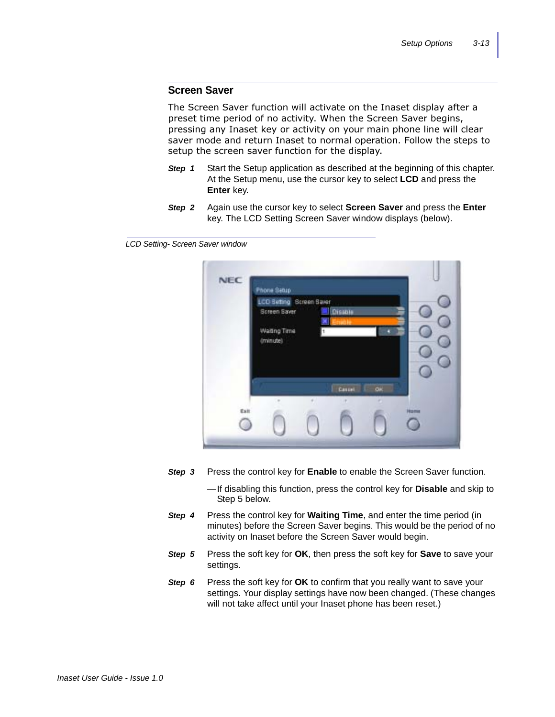#### <span id="page-25-0"></span>**Screen Saver**

The Screen Saver function will activate on the Inaset display after a preset time period of no activity. When the Screen Saver begins, pressing any Inaset key or activity on your main phone line will clear saver mode and return Inaset to normal operation. Follow the steps to setup the screen saver function for the display.

- **Step 1** Start the Setup application as described at the beginning of this chapter. At the Setup menu, use the cursor key to select **LCD** and press the **Enter** key.
- **Step 2** Again use the cursor key to select **Screen Saver** and press the **Enter** key. The LCD Setting Screen Saver window displays (below).

LCD Setting- Screen Saver window



- **Step 3** Press the control key for **Enable** to enable the Screen Saver function.
	- —If disabling this function, press the control key for **Disable** and skip to Step 5 below.
- **Step 4** Press the control key for **Waiting Time**, and enter the time period (in minutes) before the Screen Saver begins. This would be the period of no activity on Inaset before the Screen Saver would begin.
- **Step 5** Press the soft key for **OK**, then press the soft key for **Save** to save your settings.
- **Step 6** Press the soft key for **OK** to confirm that you really want to save your settings. Your display settings have now been changed. (These changes will not take affect until your Inaset phone has been reset.)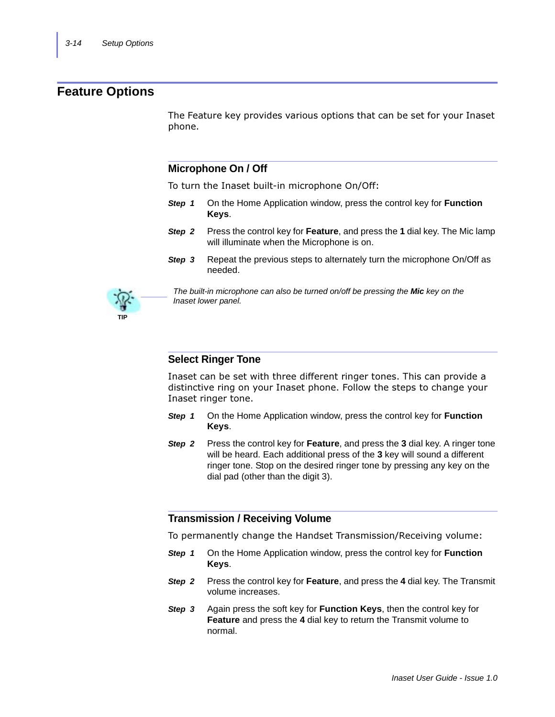# <span id="page-26-0"></span>**Feature Options**

The Feature key provides various options that can be set for your Inaset phone.

#### <span id="page-26-1"></span>**Microphone On / Off**

To turn the Inaset built-in microphone On/Off:

- **Step 1** On the Home Application window, press the control key for **Function Keys**.
- **Step 2** Press the control key for **Feature**, and press the **1** dial key. The Mic lamp will illuminate when the Microphone is on.
- **Step 3** Repeat the previous steps to alternately turn the microphone On/Off as needed.



The built-in microphone can also be turned on/off be pressing the **Mic** key on the Inaset lower panel.

#### <span id="page-26-2"></span>**Select Ringer Tone**

Inaset can be set with three different ringer tones. This can provide a distinctive ring on your Inaset phone. Follow the steps to change your Inaset ringer tone.

- **Step 1** On the Home Application window, press the control key for **Function Keys**.
- **Step 2** Press the control key for **Feature**, and press the **3** dial key. A ringer tone will be heard. Each additional press of the **3** key will sound a different ringer tone. Stop on the desired ringer tone by pressing any key on the dial pad (other than the digit 3).

#### <span id="page-26-3"></span>**Transmission / Receiving Volume**

To permanently change the Handset Transmission/Receiving volume:

- **Step 1** On the Home Application window, press the control key for **Function Keys**.
- **Step 2** Press the control key for **Feature**, and press the **4** dial key. The Transmit volume increases.
- **Step 3** Again press the soft key for **Function Keys**, then the control key for **Feature** and press the **4** dial key to return the Transmit volume to normal.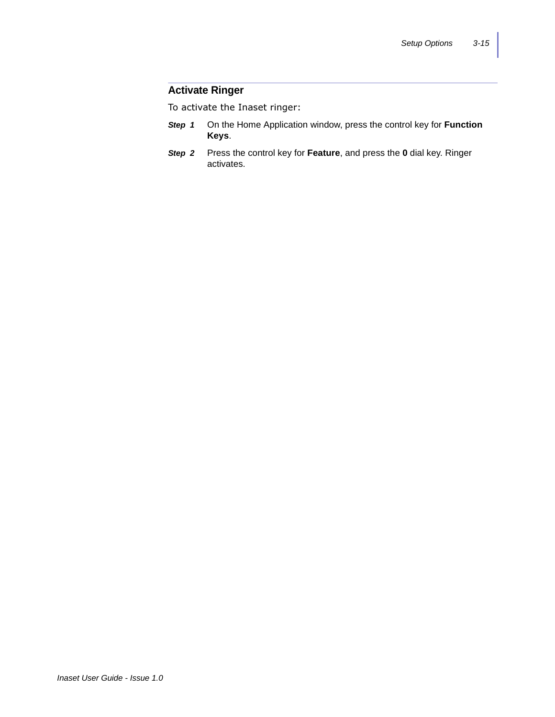# <span id="page-27-0"></span>**Activate Ringer**

To activate the Inaset ringer:

- **Step 1** On the Home Application window, press the control key for **Function Keys**.
- **Step 2** Press the control key for **Feature**, and press the **0** dial key. Ringer activates.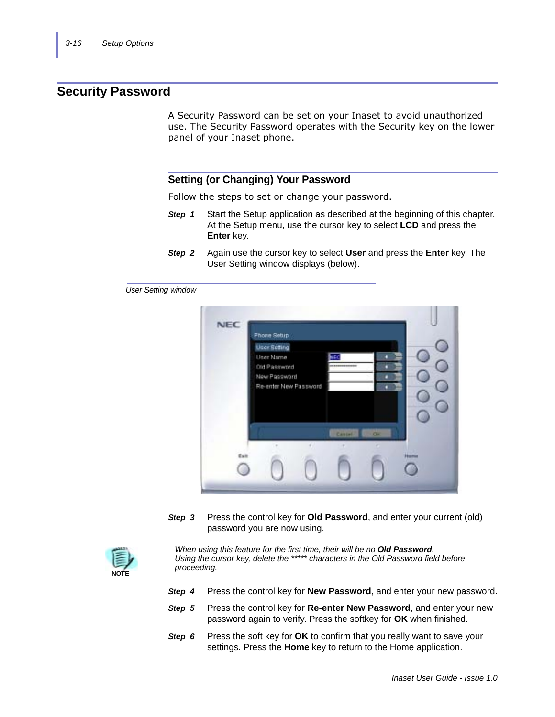# <span id="page-28-0"></span>**Security Password**

A Security Password can be set on your Inaset to avoid unauthorized use. The Security Password operates with the Security key on the lower panel of your Inaset phone.

## <span id="page-28-1"></span>**Setting (or Changing) Your Password**

Follow the steps to set or change your password.

- **Step 1** Start the Setup application as described at the beginning of this chapter. At the Setup menu, use the cursor key to select **LCD** and press the **Enter** key.
- **Step 2** Again use the cursor key to select **User** and press the **Enter** key. The User Setting window displays (below).

User Setting window



**Step 3** Press the control key for **Old Password**, and enter your current (old) password you are now using.



When using this feature for the first time, their will be no **Old Password**. Using the cursor key, delete the \*\*\*\*\* characters in the Old Password field before proceeding.

- **Step 4** Press the control key for **New Password**, and enter your new password.
- **Step 5** Press the control key for **Re-enter New Password**, and enter your new password again to verify. Press the softkey for **OK** when finished.
- **Step 6** Press the soft key for **OK** to confirm that you really want to save your settings. Press the **Home** key to return to the Home application.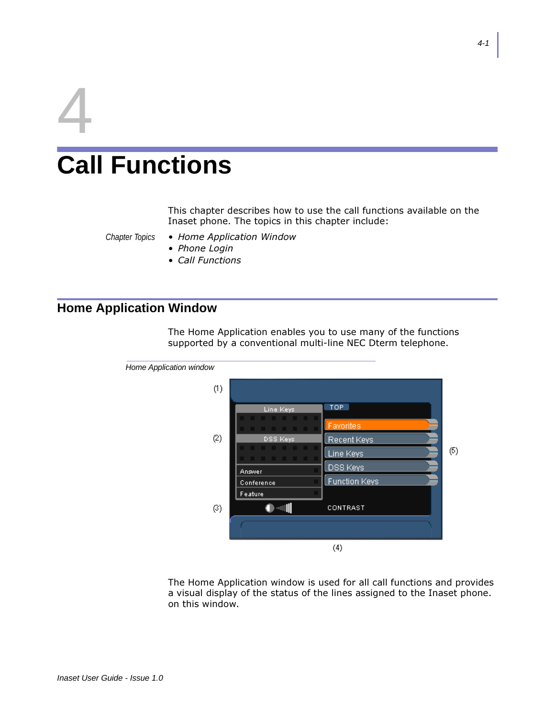# <span id="page-29-2"></span><span id="page-29-0"></span>**Call Functions**

This chapter describes how to use the call functions available on the Inaset phone. The topics in this chapter include:

**Chapter Topics** 

- Home Application Window
	- Phone Login
	- Call Functions

# <span id="page-29-1"></span>**Home Application Window**

The Home Application enables you to use many of the functions supported by a conventional multi-line NEC Dterm telephone.



The Home Application window is used for all call functions and provides a visual display of the status of the lines assigned to the Inaset phone. on this window.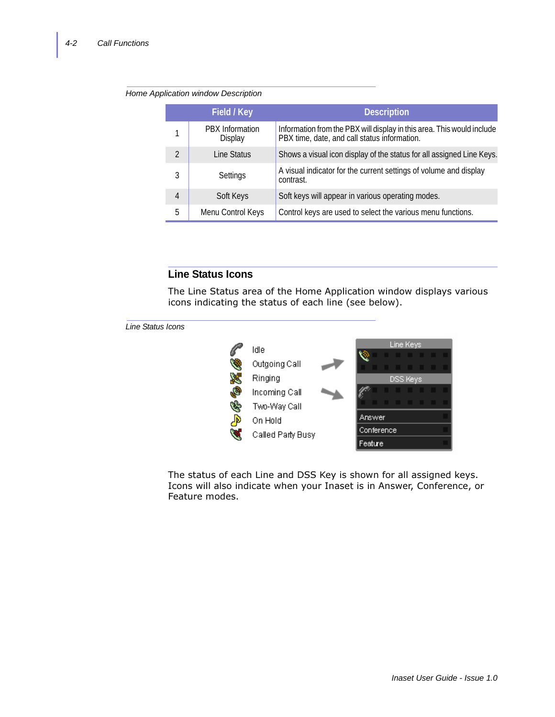#### Home Application window Description

|                | Field / Key                       | <b>Description</b>                                                                                                     |
|----------------|-----------------------------------|------------------------------------------------------------------------------------------------------------------------|
|                | <b>PBX</b> Information<br>Display | Information from the PBX will display in this area. This would include<br>PBX time, date, and call status information. |
| $\mathfrak{D}$ | Line Status                       | Shows a visual icon display of the status for all assigned Line Keys.                                                  |
| 3              | Settings                          | A visual indicator for the current settings of volume and display<br>contrast.                                         |
| $\overline{4}$ | Soft Keys                         | Soft keys will appear in various operating modes.                                                                      |
| 5              | Menu Control Keys                 | Control keys are used to select the various menu functions.                                                            |

## <span id="page-30-0"></span>**Line Status Icons**

The Line Status area of the Home Application window displays various icons indicating the status of each line (see below).

Line Status Icons



The status of each Line and DSS Key is shown for all assigned keys. Icons will also indicate when your Inaset is in Answer, Conference, or Feature modes.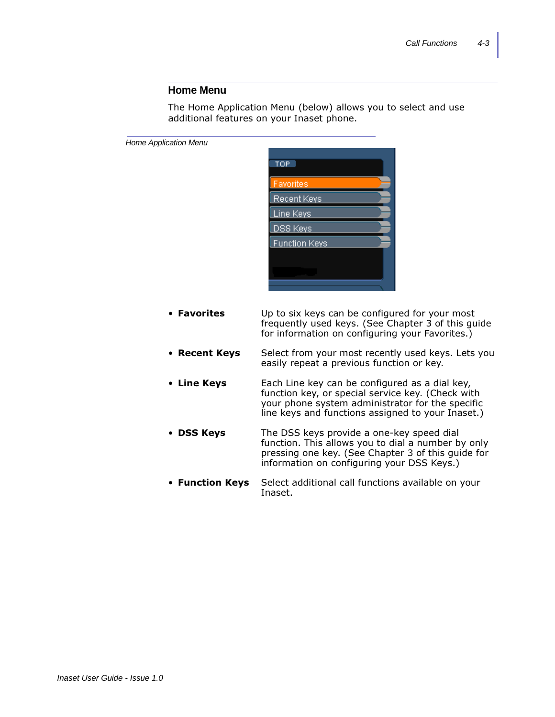#### <span id="page-31-0"></span>**Home Menu**

Home Application Menu

The Home Application Menu (below) allows you to select and use additional features on your Inaset phone.

| Favorites            |  |
|----------------------|--|
| Recent Keys          |  |
| Line Keys            |  |
| DSS Keys             |  |
| <b>Function Keys</b> |  |

- Favorites Up to six keys can be configured for your most frequently used keys. (See Chapter 3 of this guide for information on configuring your Favorites.)
- Recent Keys Select from your most recently used keys. Lets you easily repeat a previous function or key.
- Line Keys Each Line key can be configured as a dial key, function key, or special service key. (Check with your phone system administrator for the specific line keys and functions assigned to your Inaset.)
- The DSS keys provide a one-key speed dial • DSS Keys function. This allows you to dial a number by only pressing one key. (See Chapter 3 of this guide for information on configuring your DSS Keys.)
- Function Keys Select additional call functions available on your Inaset.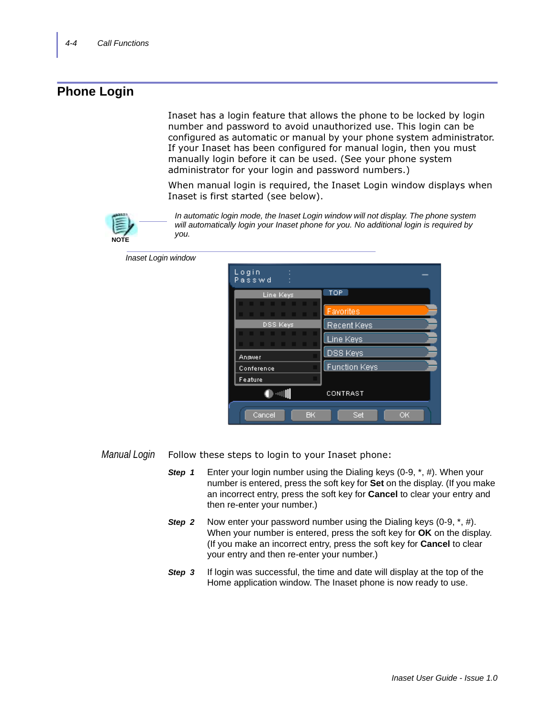# <span id="page-32-0"></span>**Phone Login**

Inaset has a login feature that allows the phone to be locked by login number and password to avoid unauthorized use. This login can be configured as automatic or manual by your phone system administrator. If your Inaset has been configured for manual login, then you must manually login before it can be used. (See your phone system administrator for your login and password numbers.)

When manual login is required, the Inaset Login window displays when Inaset is first started (see below).



In automatic login mode, the Inaset Login window will not display. The phone system will automatically login your Inaset phone for you. No additional login is required by you.

Inaset Login window

| Login<br>Passwd |                      |  |  |  |
|-----------------|----------------------|--|--|--|
| Line Keys       | TOP                  |  |  |  |
| .<br>.          | Favorites            |  |  |  |
| <b>DSS Keys</b> | Recent Keys          |  |  |  |
| .<br>.          | Line Keys            |  |  |  |
| Answer          | DSS Keys             |  |  |  |
| Conference      | <b>Function Keys</b> |  |  |  |
| Feature         |                      |  |  |  |
|                 | CONTRAST             |  |  |  |
| Cancel<br>ВK    | ОK<br>Set            |  |  |  |

*Manual Login* Follow these steps to login to your Inaset phone:

- **Step 1** Enter your login number using the Dialing keys (0-9, \*, #). When your number is entered, press the soft key for **Set** on the display. (If you make an incorrect entry, press the soft key for **Cancel** to clear your entry and then re-enter your number.)
- **Step 2** Now enter your password number using the Dialing keys (0-9,  $^*$ , #). When your number is entered, press the soft key for **OK** on the display. (If you make an incorrect entry, press the soft key for **Cancel** to clear your entry and then re-enter your number.)
- **Step 3** If login was successful, the time and date will display at the top of the Home application window. The Inaset phone is now ready to use.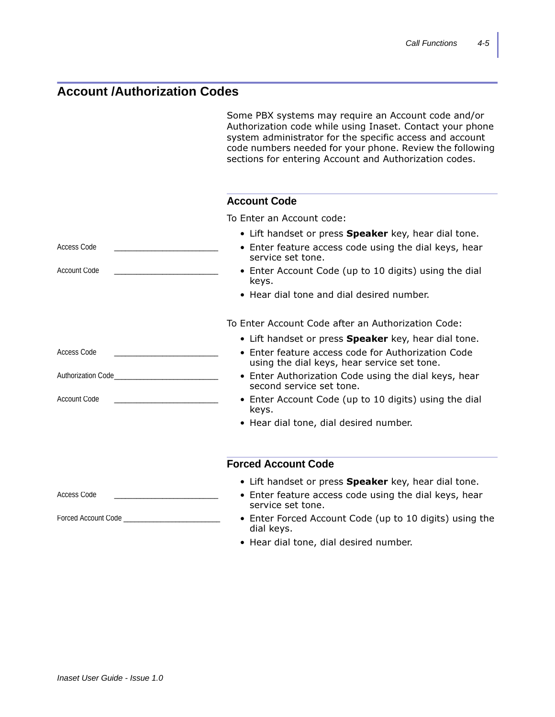# <span id="page-33-0"></span>**Account /Authorization Codes**

Access Code

Account Code

Access Code

Account Code

Access Code

Forced Account Code

Authorization Code

Some PBX systems may require an Account code and/or Authorization code while using Inaset. Contact your phone system administrator for the specific access and account code numbers needed for your phone. Review the following sections for entering Account and Authorization codes.

## <span id="page-33-1"></span>**Account Code**

To Enter an Account code:

- Lift handset or press **Speaker** key, hear dial tone.
- Enter feature access code using the dial keys, hear service set tone.
- Enter Account Code (up to 10 digits) using the dial kevs.
- Hear dial tone and dial desired number.

To Enter Account Code after an Authorization Code:

- Lift handset or press **Speaker** key, hear dial tone.
- Enter feature access code for Authorization Code using the dial keys, hear service set tone.
- Enter Authorization Code using the dial keys, hear second service set tone.
- Enter Account Code (up to 10 digits) using the dial keys.
- Hear dial tone, dial desired number.

## <span id="page-33-2"></span>**Forced Account Code**

- Lift handset or press **Speaker** key, hear dial tone.
- Enter feature access code using the dial keys, hear service set tone.
	- Enter Forced Account Code (up to 10 digits) using the dial keys.
	- Hear dial tone, dial desired number.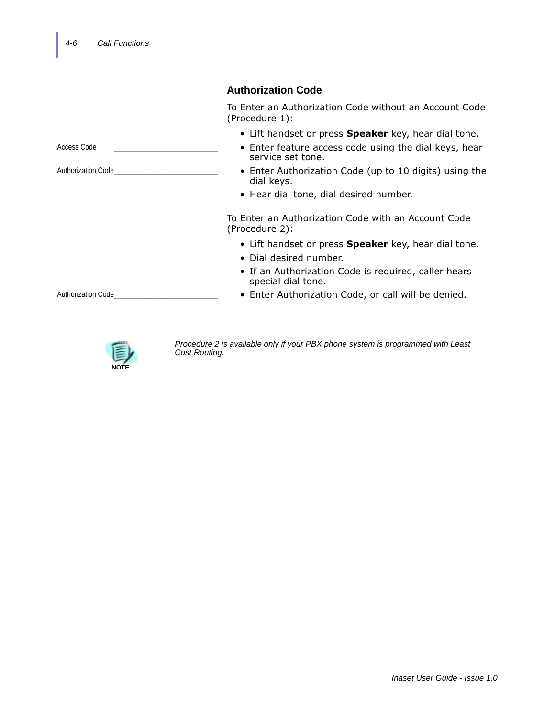<span id="page-34-0"></span>

|                           | <b>Authorization Code</b>                                                  |
|---------------------------|----------------------------------------------------------------------------|
|                           | To Enter an Authorization Code without an Account Code<br>(Procedure 1):   |
|                           | • Lift handset or press <b>Speaker</b> key, hear dial tone.                |
| Access Code               | • Enter feature access code using the dial keys, hear<br>service set tone. |
| <b>Authorization Code</b> | • Enter Authorization Code (up to 10 digits) using the<br>dial keys.       |
|                           | • Hear dial tone, dial desired number.                                     |
|                           | To Enter an Authorization Code with an Account Code<br>(Procedure 2):      |
|                           | • Lift handset or press <b>Speaker</b> key, hear dial tone.                |
|                           | • Dial desired number.                                                     |
|                           | • If an Authorization Code is required, caller hears<br>special dial tone. |
| <b>Authorization Code</b> | • Enter Authorization Code, or call will be denied.                        |
|                           |                                                                            |



Procedure 2 is available only if your PBX phone system is programmed with Least Cost Routing.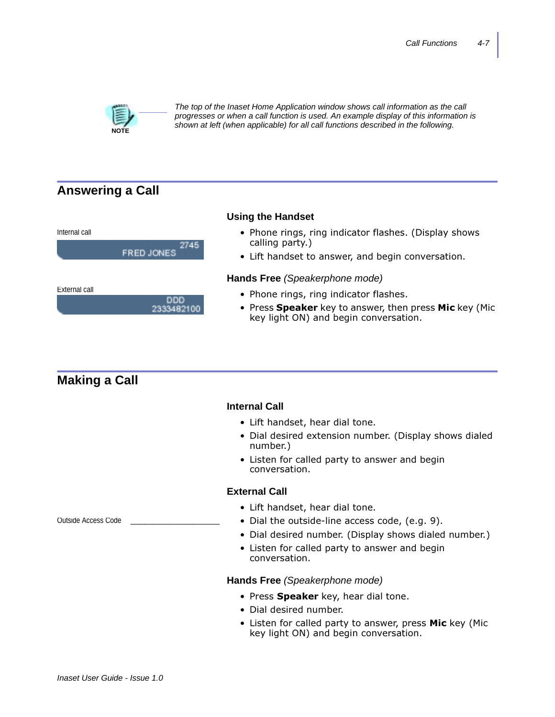

The top of the Inaset Home Application window shows call information as the call progresses or when a call function is used. An example display of this information is shown at left (when applicable) for all call functions described in the following.

# <span id="page-35-0"></span>**Answering a Call**

#### **Using the Handset** Internal call • Phone rings, ring indicator flashes. (Display shows calling party.) 2745 FRED JONES • Lift handset to answer, and begin conversation. **Hands Free** (Speakerphone mode) External call • Phone rings, ring indicator flashes. nnn • Press Speaker key to answer, then press Mic key (Mic 2333482100 key light ON) and begin conversation.

# <span id="page-35-1"></span>**Making a Call**

# **Internal Call**

- Lift handset, hear dial tone.
- Dial desired extension number. (Display shows dialed number.)
- Listen for called party to answer and begin conversation.

#### **External Call**

- Lift handset, hear dial tone.
- $\bullet$  Dial the outside-line access code, (e.g. 9).
- Dial desired number. (Display shows dialed number.)
- Listen for called party to answer and begin conversation.

## **Hands Free** (Speakerphone mode)

- Press Speaker key, hear dial tone.
- Dial desired number.
- Listen for called party to answer, press **Mic** key (Mic key light ON) and begin conversation.

Outside Access Code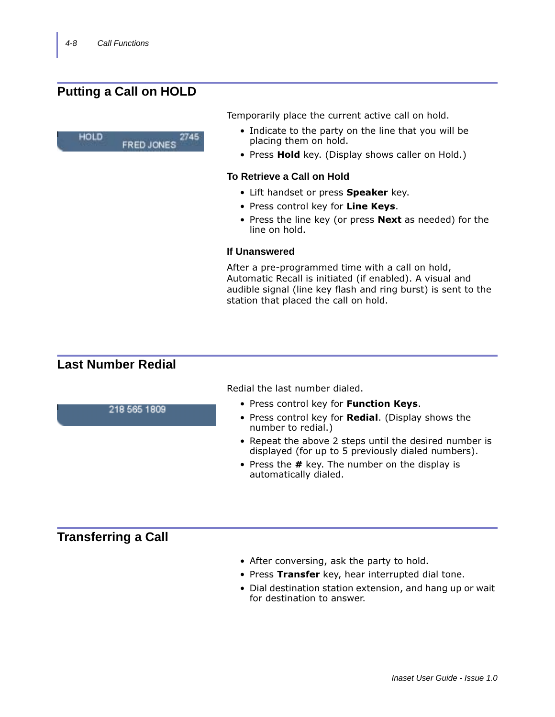# **Putting a Call on HOLD**



Temporarily place the current active call on hold.

- Indicate to the party on the line that you will be placing them on hold.
- Press Hold key. (Display shows caller on Hold.)

# To Retrieve a Call on Hold

- Lift handset or press Speaker key.
- Press control key for Line Keys.
- Press the line key (or press **Next** as needed) for the line on hold.

## **If Unanswered**

After a pre-programmed time with a call on hold, Automatic Recall is initiated (if enabled). A visual and audible signal (line key flash and ring burst) is sent to the station that placed the call on hold.

# **Last Number Redial**

# 218 565 1809

- Redial the last number dialed.
	- Press control key for **Function Keys**.
	- Press control key for Redial. (Display shows the number to redial.)
	- Repeat the above 2 steps until the desired number is displayed (for up to 5 previously dialed numbers).
	- Press the # key. The number on the display is automatically dialed.

# **Transferring a Call**

- After conversing, ask the party to hold.
- Press Transfer key, hear interrupted dial tone.
- Dial destination station extension, and hang up or wait for destination to answer.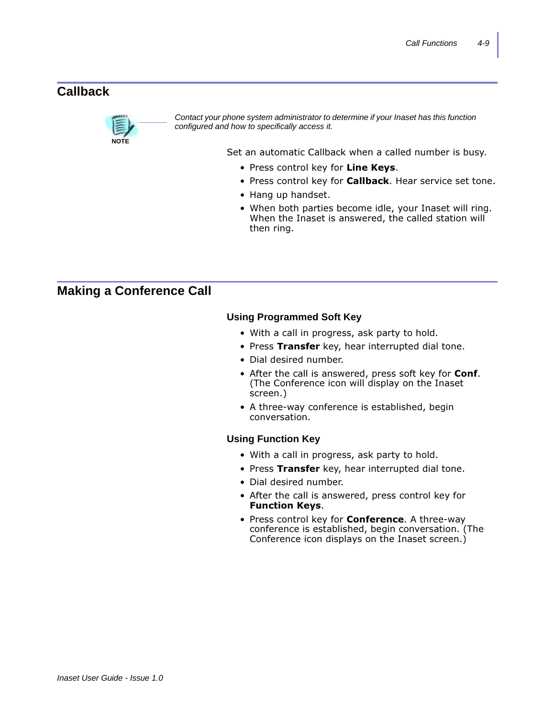# **Callback**



Contact your phone system administrator to determine if your Inaset has this function configured and how to specifically access it.

Set an automatic Callback when a called number is busy.

- Press control key for Line Keys.
- Press control key for **Callback**. Hear service set tone.
- Hang up handset.
- When both parties become idle, your Inaset will ring. When the Inaset is answered, the called station will then ring.

# **Making a Conference Call**

# **Using Programmed Soft Key**

- With a call in progress, ask party to hold.
- Press Transfer key, hear interrupted dial tone.
- Dial desired number.
- After the call is answered, press soft key for **Conf**. (The Conference icon will display on the Inaset screen.)
- A three-way conference is established, begin conversation.

#### **Using Function Key**

- With a call in progress, ask party to hold.
- Press Transfer key, hear interrupted dial tone.
- Dial desired number.
- After the call is answered, press control key for **Function Keys.**
- Press control key for **Conference**. A three-way conference is established, begin conversation. (The Conference icon displays on the Inaset screen.)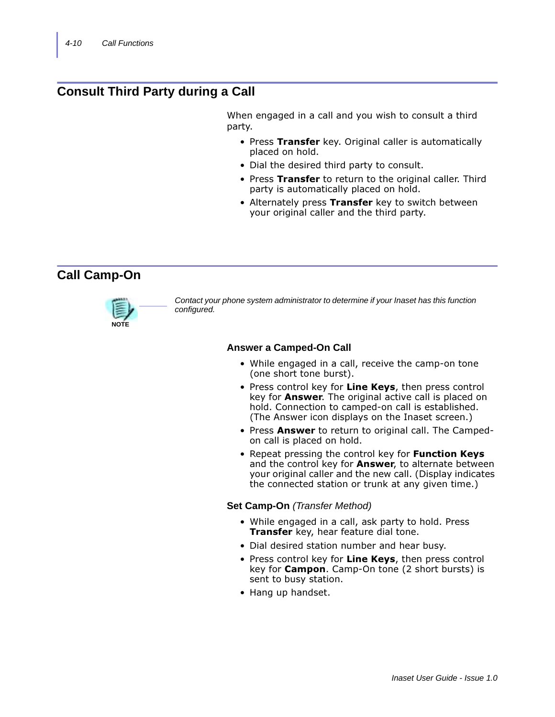# **Consult Third Party during a Call**

When engaged in a call and you wish to consult a third party.

- Press Transfer key. Original caller is automatically placed on hold.
- Dial the desired third party to consult.
- Press Transfer to return to the original caller. Third party is automatically placed on hold.
- Alternately press Transfer key to switch between your original caller and the third party.

# **Call Camp-On**



Contact your phone system administrator to determine if your Inaset has this function configured.

## **Answer a Camped-On Call**

- While engaged in a call, receive the camp-on tone (one short tone burst).
- Press control key for Line Keys, then press control key for **Answer**. The original active call is placed on hold. Connection to camped-on call is established. (The Answer icon displays on the Inaset screen.)
- Press Answer to return to original call. The Campedon call is placed on hold.
- Repeat pressing the control key for **Function Keys** and the control key for **Answer**, to alternate between your original caller and the new call. (Display indicates the connected station or trunk at any given time.)

#### **Set Camp-On** (Transfer Method)

- While engaged in a call, ask party to hold. Press **Transfer** key, hear feature dial tone.
- Dial desired station number and hear busy.
- Press control key for Line Keys, then press control key for **Campon**. Camp-On tone (2 short bursts) is sent to busy station.
- Hang up handset.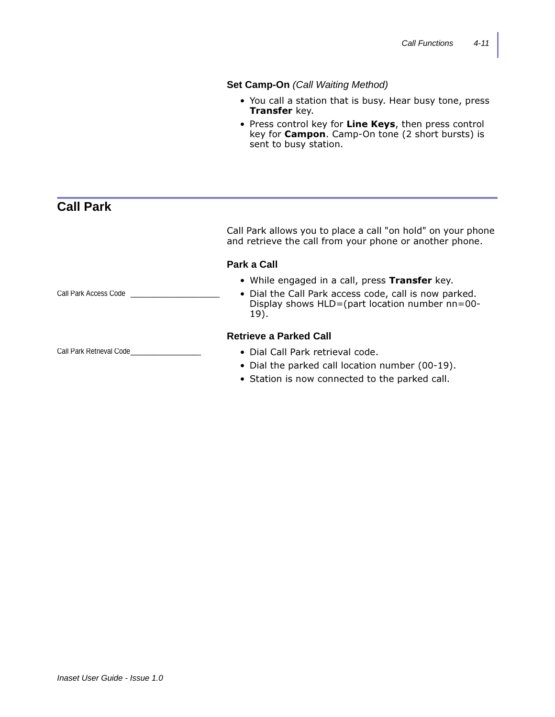# Set Camp-On (Call Waiting Method)

- You call a station that is busy. Hear busy tone, press Transfer key.
- Press control key for Line Keys, then press control key for **Campon**. Camp-On tone (2 short bursts) is sent to busy station.

# **Call Park**

Call Park allows you to place a call "on hold" on your phone and retrieve the call from your phone or another phone.

## Park a Call

- While engaged in a call, press Transfer key.
- Dial the Call Park access code, call is now parked. Display shows HLD=(part location number nn=00- $19)$ .

# **Retrieve a Parked Call**

- · Dial Call Park retrieval code.
- Dial the parked call location number (00-19).
- Station is now connected to the parked call.

Call Park Access Code

Call Park Retrieval Code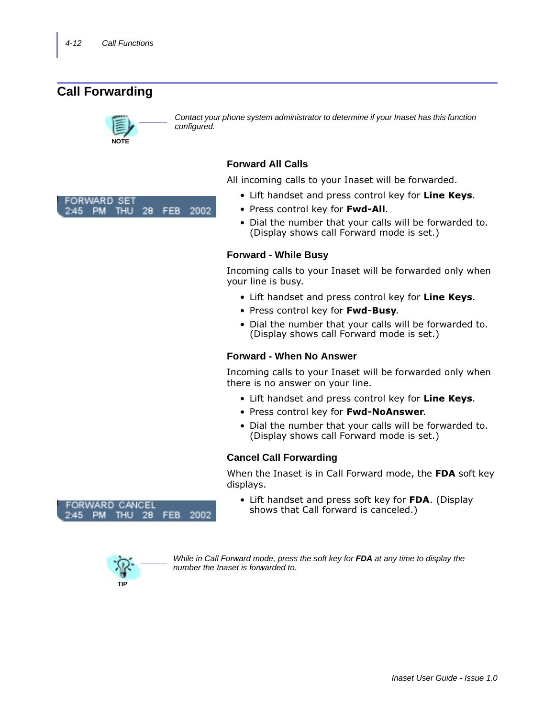# **Call Forwarding**



Contact your phone system administrator to determine if your Inaset has this function configured.



# **Forward All Calls**

All incoming calls to your Inaset will be forwarded.

- Lift handset and press control key for Line Keys.
- Press control key for **Fwd-All**.
- Dial the number that your calls will be forwarded to. (Display shows call Forward mode is set.)

#### **Forward - While Busy**

Incoming calls to your Inaset will be forwarded only when your line is busy.

- Lift handset and press control key for Line Keys.
- Press control key for **Fwd-Busy**.
- Dial the number that your calls will be forwarded to. (Display shows call Forward mode is set.)

#### **Forward - When No Answer**

Incoming calls to your Inaset will be forwarded only when there is no answer on your line.

- Lift handset and press control key for Line Keys.
- Press control key for **Fwd-NoAnswer**.
- Dial the number that your calls will be forwarded to. (Display shows call Forward mode is set.)

## **Cancel Call Forwarding**

When the Inaset is in Call Forward mode, the FDA soft key displays.

• Lift handset and press soft key for FDA. (Display shows that Call forward is canceled.)





While in Call Forward mode, press the soft key for **FDA** at any time to display the number the Inaset is forwarded to.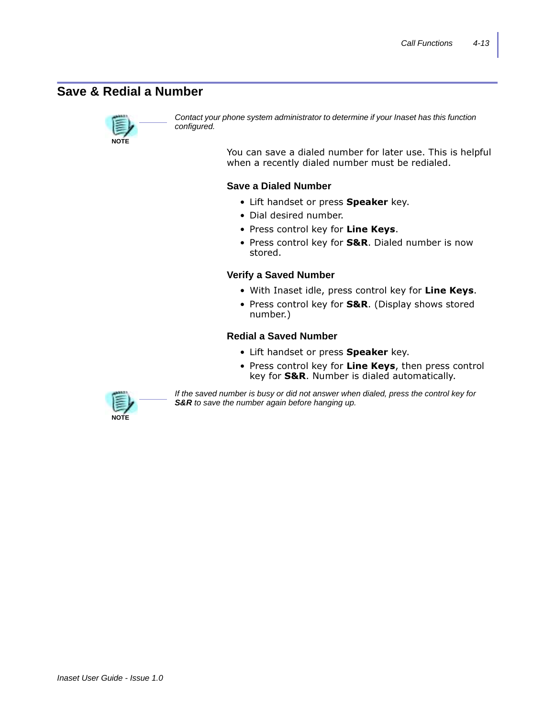# **Save & Redial a Number**



Contact your phone system administrator to determine if your Inaset has this function configured.

> You can save a dialed number for later use. This is helpful when a recently dialed number must be redialed.

# **Save a Dialed Number**

- Lift handset or press **Speaker** key.
- Dial desired number.
- Press control key for Line Keys.
- Press control key for **S&R**. Dialed number is now stored.

# **Verify a Saved Number**

- With Inaset idle, press control key for Line Keys.
- Press control key for **S&R**. (Display shows stored number.)

# **Redial a Saved Number**

- Lift handset or press Speaker key.
- Press control key for Line Keys, then press control key for S&R. Number is dialed automatically.



If the saved number is busy or did not answer when dialed, press the control key for **S&R** to save the number again before hanging up.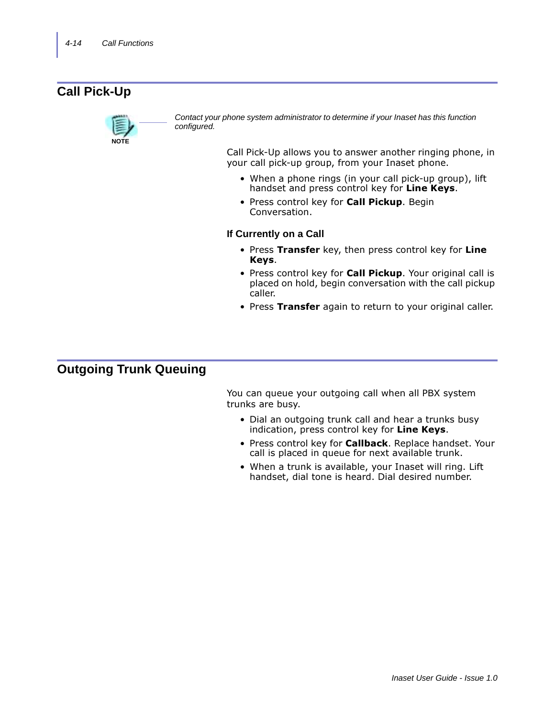# **Call Pick-Up**



Contact your phone system administrator to determine if your Inaset has this function configured.

> Call Pick-Up allows you to answer another ringing phone, in your call pick-up group, from your Inaset phone.

- When a phone rings (in your call pick-up group), lift handset and press control key for Line Keys.
- Press control key for **Call Pickup**. Begin Conversation.

#### **If Currently on a Call**

- Press Transfer key, then press control key for Line **Keys.**
- Press control key for **Call Pickup**. Your original call is placed on hold, begin conversation with the call pickup caller.
- Press Transfer again to return to your original caller.

# **Outgoing Trunk Queuing**

You can queue your outgoing call when all PBX system trunks are busy.

- Dial an outgoing trunk call and hear a trunks busy indication, press control key for Line Keys.
- Press control key for **Callback**. Replace handset. Your call is placed in queue for next available trunk.
- When a trunk is available, your Inaset will ring. Lift handset, dial tone is heard. Dial desired number.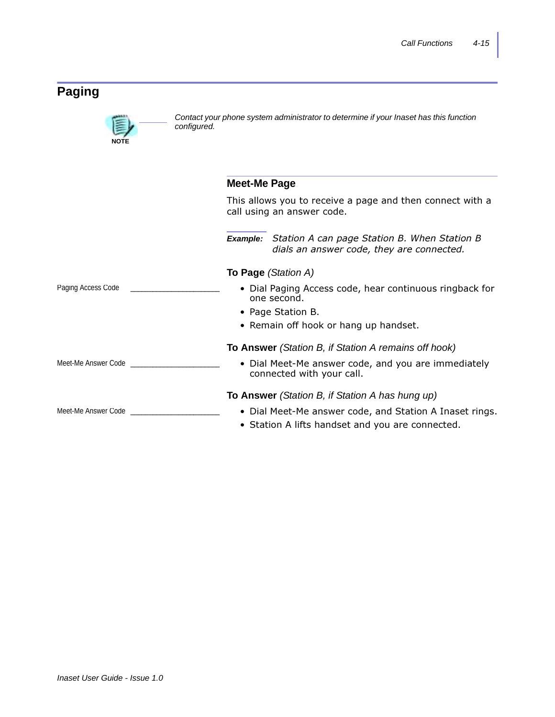# **Paging**



Contact your phone system administrator to determine if your Inaset has this function configured.

|                     | Meet-Me Page                                                                                              |  |  |  |  |
|---------------------|-----------------------------------------------------------------------------------------------------------|--|--|--|--|
|                     | This allows you to receive a page and then connect with a<br>call using an answer code.                   |  |  |  |  |
|                     | <b>Example:</b> Station A can page Station B. When Station B<br>dials an answer code, they are connected. |  |  |  |  |
|                     | <b>To Page</b> (Station A)                                                                                |  |  |  |  |
| Paging Access Code  | • Dial Paging Access code, hear continuous ringback for<br>one second.                                    |  |  |  |  |
|                     | • Page Station B.                                                                                         |  |  |  |  |
|                     | • Remain off hook or hang up handset.                                                                     |  |  |  |  |
|                     | <b>To Answer</b> (Station B, if Station A remains off hook)                                               |  |  |  |  |
| Meet-Me Answer Code | • Dial Meet-Me answer code, and you are immediately<br>connected with your call.                          |  |  |  |  |
|                     | <b>To Answer</b> (Station B, if Station A has hung up)                                                    |  |  |  |  |
| Meet-Me Answer Code | • Dial Meet-Me answer code, and Station A Inaset rings.                                                   |  |  |  |  |
|                     | • Station A lifts handset and you are connected.                                                          |  |  |  |  |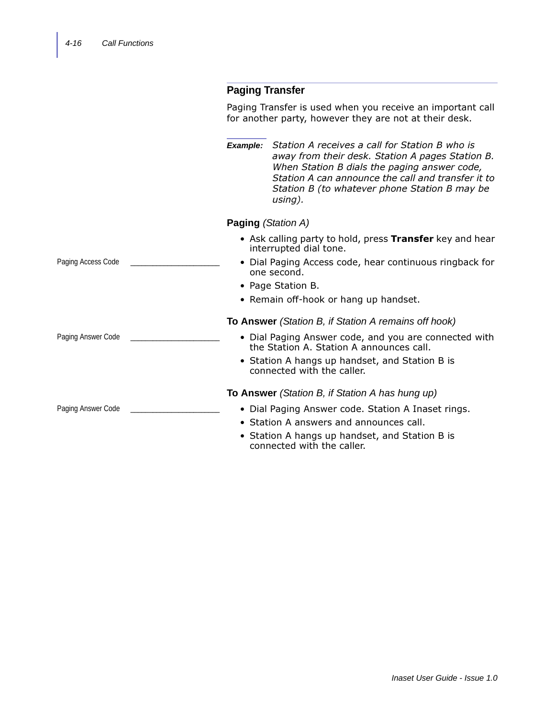# **Paging Transfer**

Paging Transfer is used when you receive an important call for another party, however they are not at their desk.

*Example: Station A receives a call for Station B who is* away from their desk. Station A pages Station B. When Station B dials the paging answer code, Station A can announce the call and transfer it to Station B (to whatever phone Station B may be *using*).

## **Paging** (Station A)

- Ask calling party to hold, press Transfer key and hear interrupted dial tone.
- Dial Paging Access code, hear continuous ringback for one second.
- Page Station B.
- Remain off-hook or hang up handset.

**To Answer** (Station B, if Station A remains off hook)

- Dial Paging Answer code, and you are connected with the Station A. Station A announces call.
- Station A hangs up handset, and Station B is connected with the caller.

**To Answer** (Station B, if Station A has hung up)

- Dial Paging Answer code. Station A Inaset rings.
- Station A answers and announces call.
- Station A hangs up handset, and Station B is connected with the caller.

Paging Access Code

Paging Answer Code

Paging Answer Code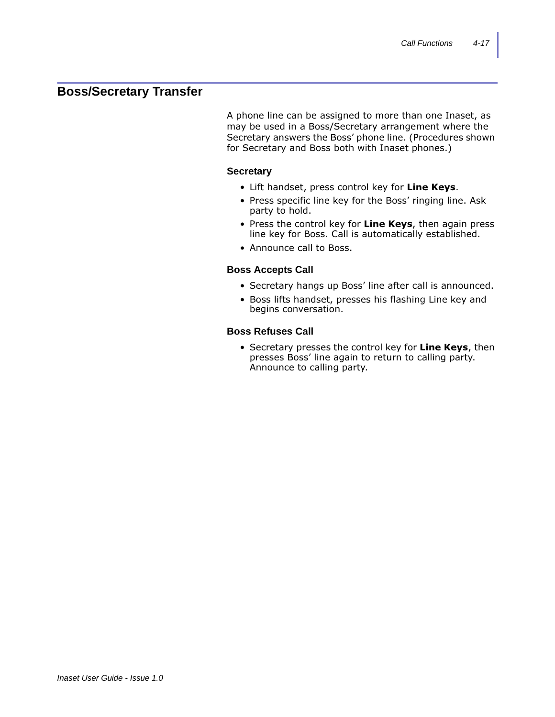# **Boss/Secretary Transfer**

A phone line can be assigned to more than one Inaset, as may be used in a Boss/Secretary arrangement where the Secretary answers the Boss' phone line. (Procedures shown for Secretary and Boss both with Inaset phones.)

## **Secretary**

- Lift handset, press control key for Line Keys.
- Press specific line key for the Boss' ringing line. Ask party to hold.
- Press the control key for Line Keys, then again press line key for Boss. Call is automatically established.
- Announce call to Boss.

## **Boss Accepts Call**

- Secretary hangs up Boss' line after call is announced.
- Boss lifts handset, presses his flashing Line key and begins conversation.

## **Boss Refuses Call**

• Secretary presses the control key for Line Keys, then presses Boss' line again to return to calling party. Announce to calling party.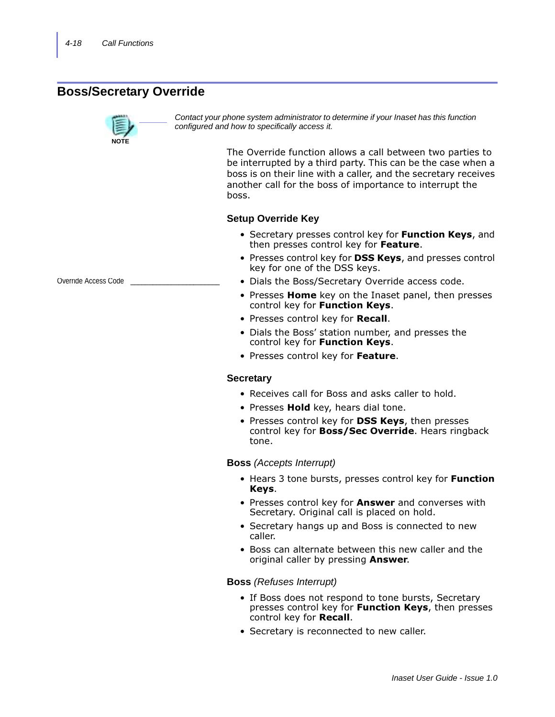# **Boss/Secretary Override**



Contact your phone system administrator to determine if your Inaset has this function configured and how to specifically access it.

> The Override function allows a call between two parties to be interrupted by a third party. This can be the case when a boss is on their line with a caller, and the secretary receives another call for the boss of importance to interrupt the boss.

## **Setup Override Key**

- Secretary presses control key for **Function Keys**, and then presses control key for Feature.
- Presses control key for **DSS Keys**, and presses control key for one of the DSS keys.
- Dials the Boss/Secretary Override access code.
- Presses **Home** key on the Inaset panel, then presses control key for Function Keys.
- Presses control key for **Recall**.
- Dials the Boss' station number, and presses the control key for Function Keys.
- Presses control key for Feature.

# **Secretary**

- Receives call for Boss and asks caller to hold.
- Presses **Hold** key, hears dial tone.
- Presses control key for DSS Keys, then presses control key for **Boss/Sec Override**. Hears ringback tone.

#### **Boss** (Accepts Interrupt)

- Hears 3 tone bursts, presses control key for **Function Keys**.
- Presses control key for **Answer** and converses with Secretary. Original call is placed on hold.
- Secretary hangs up and Boss is connected to new caller.
- Boss can alternate between this new caller and the original caller by pressing **Answer**.

# **Boss** (Refuses Interrupt)

- If Boss does not respond to tone bursts, Secretary presses control key for Function Keys, then presses control key for **Recall**.
- Secretary is reconnected to new caller.

Override Access Code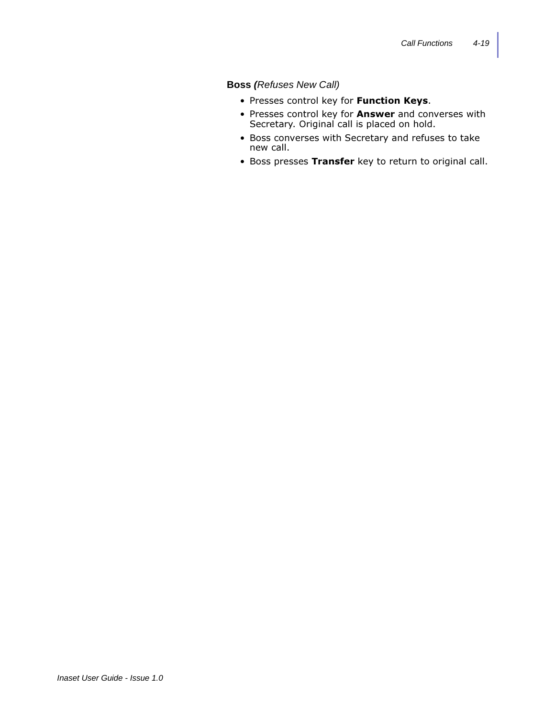**Boss (Refuses New Call)** 

- Presses control key for Function Keys.
- Presses control key for **Answer** and converses with Secretary. Original call is placed on hold.
- Boss converses with Secretary and refuses to take new call.
- . Boss presses Transfer key to return to original call.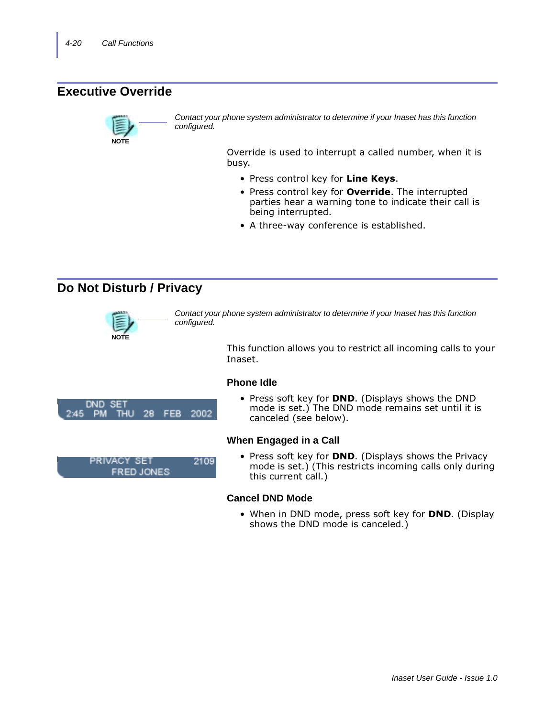# **Executive Override**



Contact your phone system administrator to determine if your Inaset has this function configured.

> Override is used to interrupt a called number, when it is busy.

- Press control key for Line Keys.
- Press control key for **Override**. The interrupted parties hear a warning tone to indicate their call is being interrupted.
- A three-way conference is established.

# **Do Not Disturb / Privacy**

| <b>NOTE</b> |  |
|-------------|--|

Contact your phone system administrator to determine if your Inaset has this function configured.

> This function allows you to restrict all incoming calls to your Inaset.

#### **Phone Idle**



| <b>PRIVACY SET</b> | 2109 |
|--------------------|------|
| <b>FRED JONES</b>  |      |
|                    |      |

l

• Press soft key for **DND**. (Displays shows the DND mode is set.) The DND mode remains set until it is canceled (see below).

#### **When Engaged in a Call**

• Press soft key for **DND**. (Displays shows the Privacy mode is set.) (This restricts incoming calls only during this current call.)

#### **Cancel DND Mode**

• When in DND mode, press soft key for **DND**. (Display shows the DND mode is canceled.)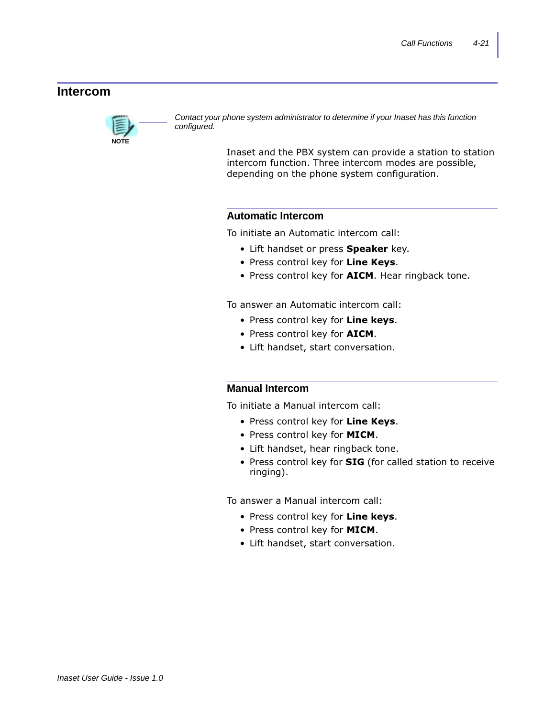# **Intercom**



Contact your phone system administrator to determine if your Inaset has this function configured.

> Inaset and the PBX system can provide a station to station intercom function. Three intercom modes are possible, depending on the phone system configuration.

# **Automatic Intercom**

To initiate an Automatic intercom call:

- Lift handset or press Speaker key.
- Press control key for Line Keys.
- Press control key for AICM. Hear ringback tone.

To answer an Automatic intercom call:

- Press control key for Line keys.
- Press control key for AICM.
- Lift handset, start conversation.

# **Manual Intercom**

To initiate a Manual intercom call:

- Press control key for Line Keys.
- Press control key for MICM.
- Lift handset, hear ringback tone.
- Press control key for **SIG** (for called station to receive ringing).

To answer a Manual intercom call:

- Press control key for Line keys.
- Press control key for MICM.
- Lift handset, start conversation.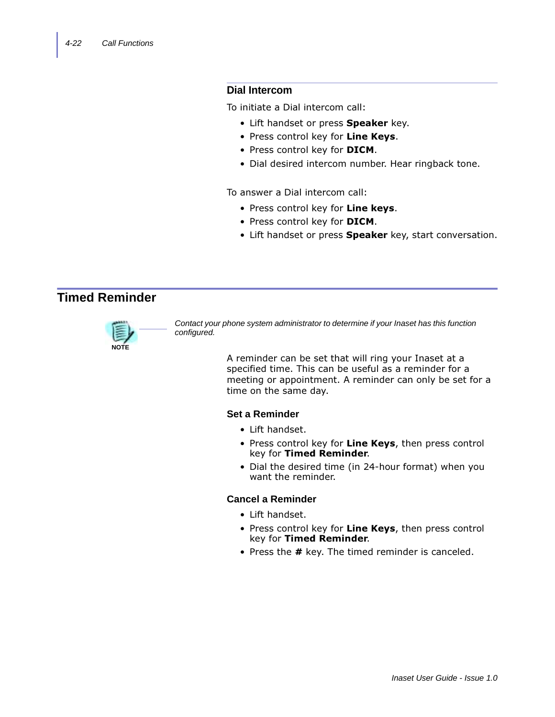# **Dial Intercom**

To initiate a Dial intercom call:

- Lift handset or press Speaker key.
- Press control key for Line Keys.
- Press control key for DICM.
- Dial desired intercom number. Hear ringback tone.

To answer a Dial intercom call:

- Press control key for Line keys.
- Press control key for DICM.
- Lift handset or press **Speaker** key, start conversation.

# **Timed Reminder**



Contact your phone system administrator to determine if your Inaset has this function configured.

> A reminder can be set that will ring your Inaset at a specified time. This can be useful as a reminder for a meeting or appointment. A reminder can only be set for a time on the same day.

#### Set a Reminder

- Lift handset.
- Press control key for Line Keys, then press control key for Timed Reminder.
- Dial the desired time (in 24-hour format) when you want the reminder.

## **Cancel a Reminder**

- Lift handset.
- Press control key for Line Keys, then press control key for Timed Reminder.
- Press the  $\#$  key. The timed reminder is canceled.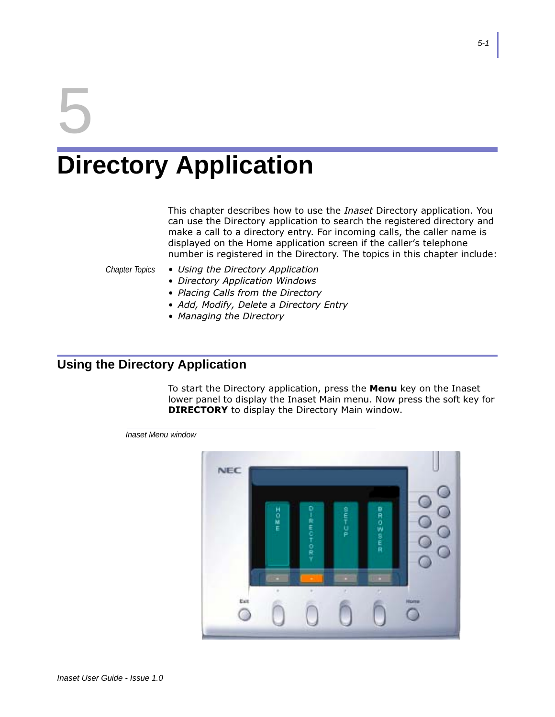# **Directory Application**

This chapter describes how to use the *Inaset* Directory application. You can use the Directory application to search the registered directory and make a call to a directory entry. For incoming calls, the caller name is displayed on the Home application screen if the caller's telephone number is registered in the Directory. The topics in this chapter include:

**Chapter Topics** 

- Using the Directory Application
- Directory Application Windows
- Placing Calls from the Directory
- Add, Modify, Delete a Directory Entry
- Managing the Directory

# **Using the Directory Application**

To start the Directory application, press the Menu key on the Inaset lower panel to display the Inaset Main menu. Now press the soft key for **DIRECTORY** to display the Directory Main window.

**Inaset Menu window** 

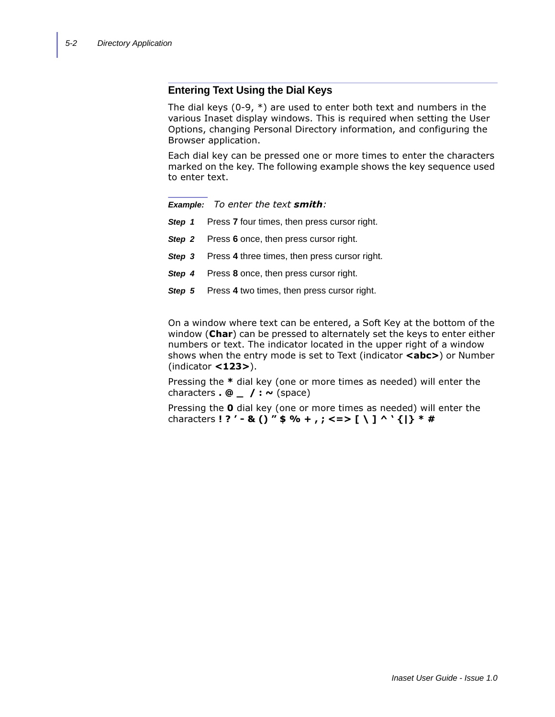# <span id="page-52-0"></span>**Entering Text Using the Dial Keys**

The dial keys (0-9,  $*$ ) are used to enter both text and numbers in the various Inaset display windows. This is required when setting the User Options, changing Personal Directory information, and configuring the Browser application.

Each dial key can be pressed one or more times to enter the characters marked on the key. The following example shows the key sequence used to enter text.

Example: To enter the text smith:

- **Step 1** Press **7** four times, then press cursor right.
- **Step 2** Press **6** once, then press cursor right.
- **Step 3** Press 4 three times, then press cursor right.
- **Step 4** Press **8** once, then press cursor right.
- **Step 5** Press 4 two times, then press cursor right.

On a window where text can be entered, a Soft Key at the bottom of the window (Char) can be pressed to alternately set the keys to enter either numbers or text. The indicator located in the upper right of a window shows when the entry mode is set to Text (indicator **<abc>**) or Number  $(indicateor **123**)$ .

Pressing the  $*$  dial key (one or more times as needed) will enter the **characters**  $\cdot$  **@ \_ / : ~** (space)

Pressing the  $\theta$  dial key (one or more times as needed) will enter the **characters ! ? ' - & () " \$ % + , ; <=> [ \ ] ^ ` {|} \* #**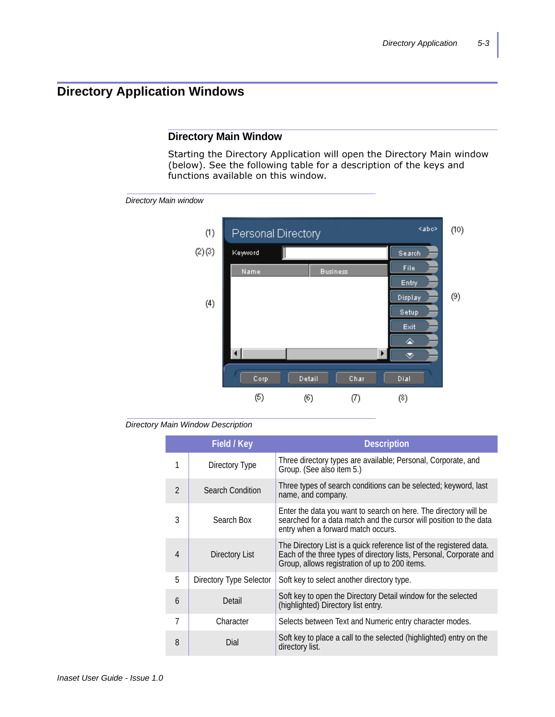# **Directory Application Windows**

# **Directory Main Window**

Starting the Directory Application will open the Directory Main window (below). See the following table for a description of the keys and functions available on this window.



#### Directory Main Window Description

| Field / Key    |                                             |                         | <b>Description</b>                                                                                                                                                                            |
|----------------|---------------------------------------------|-------------------------|-----------------------------------------------------------------------------------------------------------------------------------------------------------------------------------------------|
| Directory Type |                                             |                         | Three directory types are available; Personal, Corporate, and<br>Group. (See also item 5.)                                                                                                    |
|                | $\mathfrak{D}$                              | <b>Search Condition</b> | Three types of search conditions can be selected; keyword, last<br>name, and company.                                                                                                         |
|                | $\overline{3}$<br>Search Box                |                         | Enter the data you want to search on here. The directory will be<br>searched for a data match and the cursor will position to the data<br>entry when a forward match occurs.                  |
|                | $\overline{4}$                              | <b>Directory List</b>   | The Directory List is a quick reference list of the registered data.<br>Each of the three types of directory lists, Personal, Corporate and<br>Group, allows registration of up to 200 items. |
|                | 5<br>Directory Type Selector<br>6<br>Detail |                         | Soft key to select another directory type.                                                                                                                                                    |
|                |                                             |                         | Soft key to open the Directory Detail window for the selected<br>(highlighted) Directory list entry.                                                                                          |
|                | 7                                           | Character               | Selects between Text and Numeric entry character modes.                                                                                                                                       |
|                | 8                                           | Dial                    | Soft key to place a call to the selected (highlighted) entry on the<br>directory list.                                                                                                        |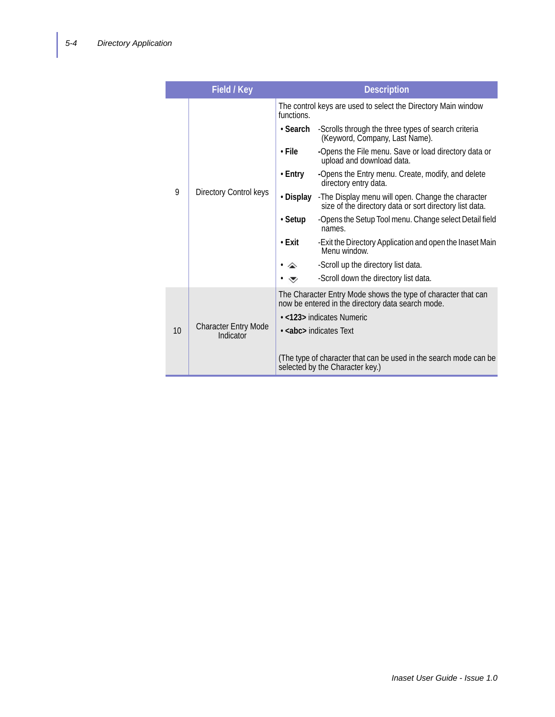|    | Field / Key                              | <b>Description</b> |                                                                                                                    |  |
|----|------------------------------------------|--------------------|--------------------------------------------------------------------------------------------------------------------|--|
| 9  | <b>Directory Control keys</b>            | functions.         | The control keys are used to select the Directory Main window                                                      |  |
|    |                                          | $\cdot$ Search     | -Scrolls through the three types of search criteria<br>(Keyword, Company, Last Name).                              |  |
|    |                                          | • File             | -Opens the File menu. Save or load directory data or<br>upload and download data.                                  |  |
|    |                                          | ∙ Entry            | -Opens the Entry menu. Create, modify, and delete<br>directory entry data.                                         |  |
|    |                                          | • Display          | -The Display menu will open. Change the character<br>size of the directory data or sort directory list data.       |  |
|    |                                          | $\cdot$ Setup      | -Opens the Setup Tool menu. Change select Detail field<br>names.                                                   |  |
|    |                                          | ∙ Exit             | -Exit the Directory Application and open the Inaset Main<br>Menu window.                                           |  |
|    |                                          | • A                | -Scroll up the directory list data.                                                                                |  |
|    |                                          | ∙रू                | -Scroll down the directory list data.                                                                              |  |
|    | <b>Character Entry Mode</b><br>Indicator |                    | The Character Entry Mode shows the type of character that can<br>now be entered in the directory data search mode. |  |
| 10 |                                          |                    | $\cdot$ <123> indicates Numeric                                                                                    |  |
|    |                                          |                    | $\cdot$ <abc> indicates Text</abc>                                                                                 |  |
|    |                                          |                    | (The type of character that can be used in the search mode can be<br>selected by the Character key.)               |  |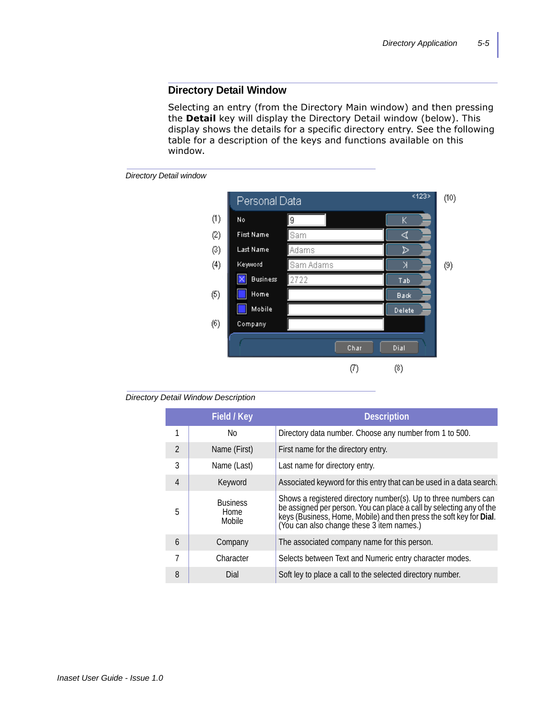## **Directory Detail Window**

Selecting an entry (from the Directory Main window) and then pressing the Detail key will display the Directory Detail window (below). This display shows the details for a specific directory entry. See the following table for a description of the keys and functions available on this window.

Directory Detail window



#### Directory Detail Window Description

|                | <b>Field / Key</b>                       | <b>Description</b>                                                                                                                                                                                                                                          |
|----------------|------------------------------------------|-------------------------------------------------------------------------------------------------------------------------------------------------------------------------------------------------------------------------------------------------------------|
| 1              | No.                                      | Directory data number. Choose any number from 1 to 500.                                                                                                                                                                                                     |
| $\mathfrak{D}$ | Name (First)                             | First name for the directory entry.                                                                                                                                                                                                                         |
| 3              | Name (Last)                              | Last name for directory entry.                                                                                                                                                                                                                              |
| 4              | Keyword                                  | Associated keyword for this entry that can be used in a data search.                                                                                                                                                                                        |
| 5              | <b>Business</b><br>Home<br><b>Mobile</b> | Shows a registered directory number(s). Up to three numbers can<br>be assigned per person. You can place a call by selecting any of the<br>keys (Business, Home, Mobile) and then press the soft key for Dial.<br>(You can also change these 3 item names.) |
| 6              | Company                                  | The associated company name for this person.                                                                                                                                                                                                                |
| 7              | Character                                | Selects between Text and Numeric entry character modes.                                                                                                                                                                                                     |
| 8              | Dial                                     | Soft ley to place a call to the selected directory number.                                                                                                                                                                                                  |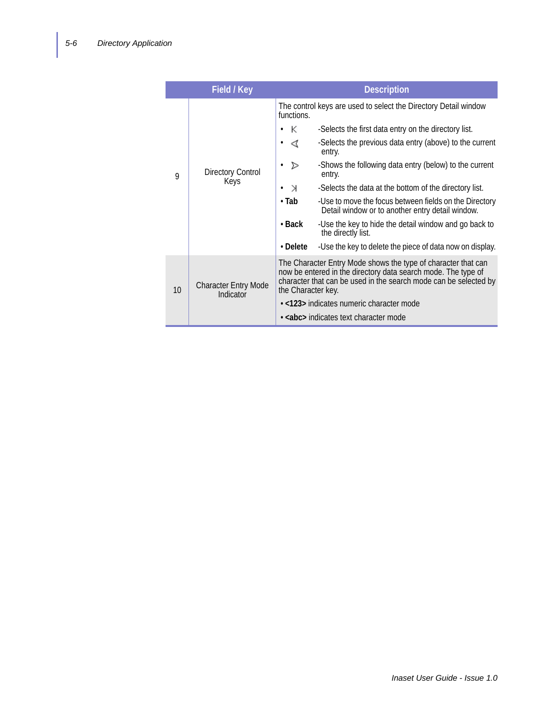| <b>Field / Key</b> |                                          |                    | <b>Description</b>                                                                                                                                                                                 |
|--------------------|------------------------------------------|--------------------|----------------------------------------------------------------------------------------------------------------------------------------------------------------------------------------------------|
|                    | Directory Control<br>Keys                | functions.         | The control keys are used to select the Directory Detail window                                                                                                                                    |
|                    |                                          | К<br>٠             | -Selects the first data entry on the directory list.                                                                                                                                               |
| 9                  |                                          | ∢                  | -Selects the previous data entry (above) to the current<br>entry.                                                                                                                                  |
|                    |                                          | ⋗                  | -Shows the following data entry (below) to the current<br>entry.                                                                                                                                   |
|                    |                                          | Ы                  | -Selects the data at the bottom of the directory list.                                                                                                                                             |
|                    |                                          | ∙ Tab              | -Use to move the focus between fields on the Directory<br>Detail window or to another entry detail window.                                                                                         |
|                    |                                          | ∙ Back             | -Use the key to hide the detail window and go back to<br>the directly list.                                                                                                                        |
|                    |                                          | $\cdot$ Delete     | -Use the key to delete the piece of data now on display.                                                                                                                                           |
| 10                 | <b>Character Entry Mode</b><br>Indicator | the Character key. | The Character Entry Mode shows the type of character that can<br>now be entered in the directory data search mode. The type of<br>character that can be used in the search mode can be selected by |
|                    |                                          |                    | $\cdot$ <123> indicates numeric character mode                                                                                                                                                     |
|                    |                                          |                    | · <abc> indicates text character mode</abc>                                                                                                                                                        |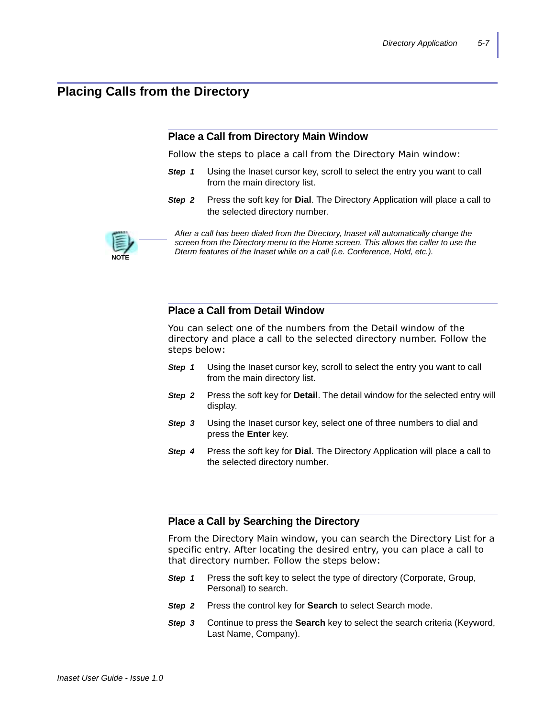# **Placing Calls from the Directory**

# **Place a Call from Directory Main Window**

Follow the steps to place a call from the Directory Main window:

- **Step 1** Using the Inaset cursor key, scroll to select the entry you want to call from the main directory list.
- **Step 2** Press the soft key for **Dial**. The Directory Application will place a call to the selected directory number.



After a call has been dialed from the Directory, Inaset will automatically change the screen from the Directory menu to the Home screen. This allows the caller to use the Dterm features of the Inaset while on a call (i.e. Conference, Hold, etc.).

## **Place a Call from Detail Window**

You can select one of the numbers from the Detail window of the directory and place a call to the selected directory number. Follow the steps below:

- **Step 1** Using the Inaset cursor key, scroll to select the entry you want to call from the main directory list.
- **Step 2** Press the soft key for **Detail**. The detail window for the selected entry will display.
- **Step 3** Using the Inaset cursor key, select one of three numbers to dial and press the **Enter** key.
- **Step 4** Press the soft key for **Dial**. The Directory Application will place a call to the selected directory number.

# **Place a Call by Searching the Directory**

From the Directory Main window, you can search the Directory List for a specific entry. After locating the desired entry, you can place a call to that directory number. Follow the steps below:

- **Step 1** Press the soft key to select the type of directory (Corporate, Group, Personal) to search.
- **Step 2** Press the control key for **Search** to select Search mode.
- **Step 3** Continue to press the **Search** key to select the search criteria (Keyword, Last Name, Company).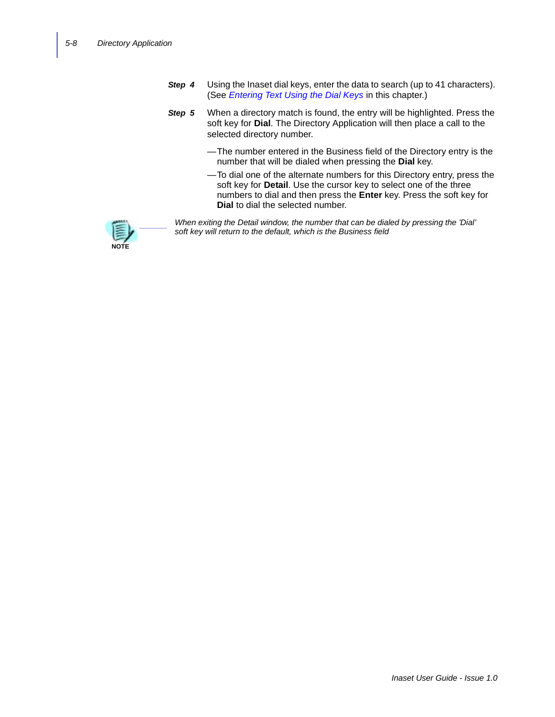- **Step 4** Using the Inaset dial keys, enter the data to search (up to 41 characters). (See *[Entering Text Using the Dial Keys](#page-52-0)* in this chapter.)
- **Step 5** When a directory match is found, the entry will be highlighted. Press the soft key for **Dial**. The Directory Application will then place a call to the selected directory number.
	- —The number entered in the Business field of the Directory entry is the number that will be dialed when pressing the **Dial** key.
	- —To dial one of the alternate numbers for this Directory entry, press the soft key for **Detail**. Use the cursor key to select one of the three numbers to dial and then press the **Enter** key. Press the soft key for **Dial** to dial the selected number.

**NOTE**

When exiting the Detail window, the number that can be dialed by pressing the 'Dial' soft key will return to the default, which is the Business field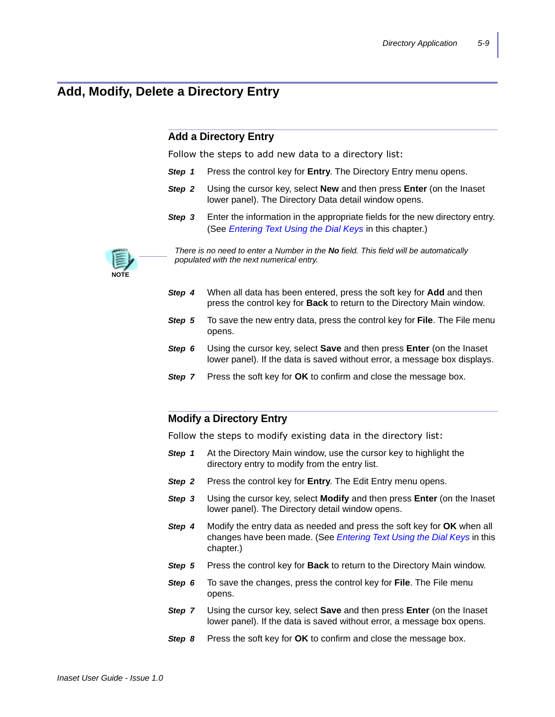# **Add, Modify, Delete a Directory Entry**

# **Add a Directory Entry**

Follow the steps to add new data to a directory list:

- **Step 1** Press the control key for **Entry**. The Directory Entry menu opens.
- **Step 2** Using the cursor key, select **New** and then press **Enter** (on the Inaset lower panel). The Directory Data detail window opens.
- **Step 3** Enter the information in the appropriate fields for the new directory entry. (See *[Entering Text Using the Dial Keys](#page-52-0)* in this chapter.)



There is no need to enter a Number in the **No** field. This field will be automatically populated with the next numerical entry.

- **Step 4** When all data has been entered, press the soft key for **Add** and then press the control key for **Back** to return to the Directory Main window.
- **Step 5** To save the new entry data, press the control key for **File**. The File menu opens.
- **Step 6** Using the cursor key, select **Save** and then press **Enter** (on the Inaset lower panel). If the data is saved without error, a message box displays.
- **Step 7** Press the soft key for **OK** to confirm and close the message box.

# **Modify a Directory Entry**

Follow the steps to modify existing data in the directory list:

- **Step 1** At the Directory Main window, use the cursor key to highlight the directory entry to modify from the entry list.
- **Step 2** Press the control key for **Entry**. The Edit Entry menu opens.
- **Step 3** Using the cursor key, select **Modify** and then press **Enter** (on the Inaset lower panel). The Directory detail window opens.
- **Step 4** Modify the entry data as needed and press the soft key for **OK** when all changes have been made. (See *[Entering Text Using the Dial Keys](#page-52-0)* in this chapter.)
- **Step 5** Press the control key for **Back** to return to the Directory Main window.
- **Step 6** To save the changes, press the control key for **File**. The File menu opens.
- **Step 7** Using the cursor key, select **Save** and then press **Enter** (on the Inaset lower panel). If the data is saved without error, a message box opens.
- **Step 8** Press the soft key for **OK** to confirm and close the message box.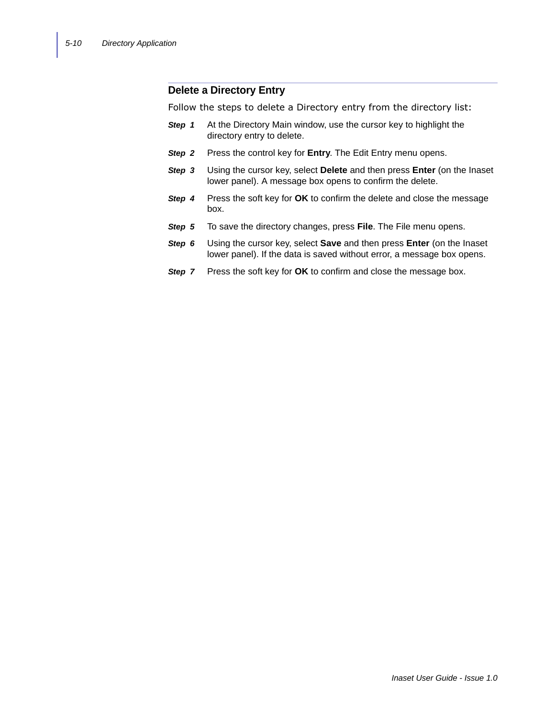# **Delete a Directory Entry**

Follow the steps to delete a Directory entry from the directory list:

- **Step 1** At the Directory Main window, use the cursor key to highlight the directory entry to delete.
- **Step 2** Press the control key for **Entry**. The Edit Entry menu opens.
- **Step 3** Using the cursor key, select **Delete** and then press **Enter** (on the Inaset lower panel). A message box opens to confirm the delete.
- **Step 4** Press the soft key for **OK** to confirm the delete and close the message box.
- **Step 5** To save the directory changes, press **File**. The File menu opens.
- **Step 6** Using the cursor key, select **Save** and then press **Enter** (on the Inaset lower panel). If the data is saved without error, a message box opens.
- **Step 7** Press the soft key for OK to confirm and close the message box.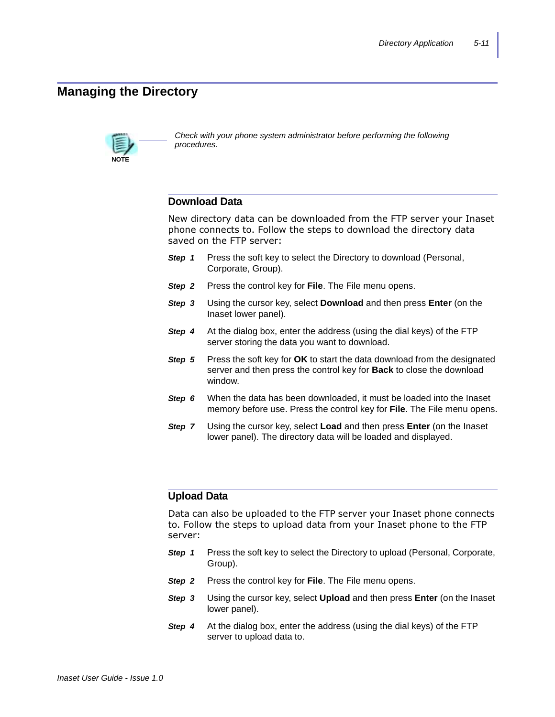# **Managing the Directory**



Check with your phone system administrator before performing the following procedures.

# **Download Data**

New directory data can be downloaded from the FTP server your Inaset phone connects to. Follow the steps to download the directory data saved on the FTP server:

- **Step 1** Press the soft key to select the Directory to download (Personal, Corporate, Group).
- **Step 2** Press the control key for **File**. The File menu opens.
- **Step 3** Using the cursor key, select **Download** and then press **Enter** (on the Inaset lower panel).
- **Step 4** At the dialog box, enter the address (using the dial keys) of the FTP server storing the data you want to download.
- **Step 5** Press the soft key for **OK** to start the data download from the designated server and then press the control key for **Back** to close the download window.
- **Step 6** When the data has been downloaded, it must be loaded into the Inaset memory before use. Press the control key for **File**. The File menu opens.
- **Step 7** Using the cursor key, select **Load** and then press **Enter** (on the Inaset lower panel). The directory data will be loaded and displayed.

#### **Upload Data**

Data can also be uploaded to the FTP server your Inaset phone connects to. Follow the steps to upload data from your Inaset phone to the FTP server:

- **Step 1** Press the soft key to select the Directory to upload (Personal, Corporate, Group).
- **Step 2** Press the control key for **File**. The File menu opens.
- **Step 3** Using the cursor key, select **Upload** and then press **Enter** (on the Inaset lower panel).
- **Step 4** At the dialog box, enter the address (using the dial keys) of the FTP server to upload data to.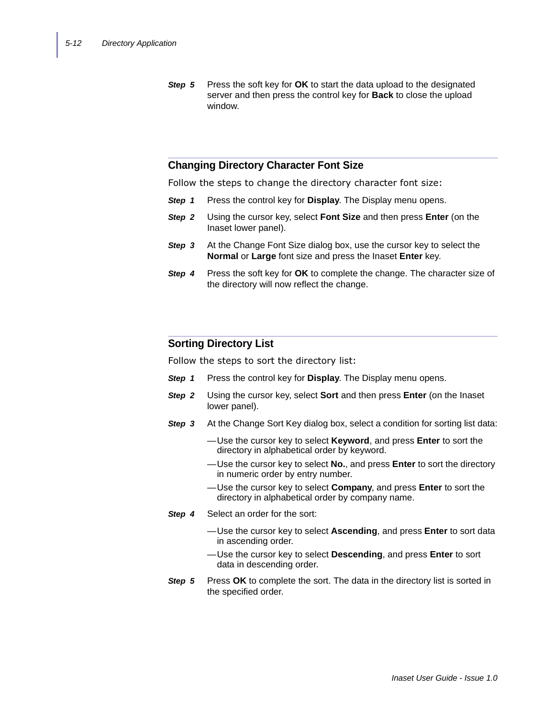**Step 5** Press the soft key for **OK** to start the data upload to the designated server and then press the control key for **Back** to close the upload window.

# **Changing Directory Character Font Size**

Follow the steps to change the directory character font size:

- **Step 1** Press the control key for **Display**. The Display menu opens.
- **Step 2** Using the cursor key, select **Font Size** and then press **Enter** (on the Inaset lower panel).
- **Step 3** At the Change Font Size dialog box, use the cursor key to select the **Normal** or **Large** font size and press the Inaset **Enter** key.
- **Step 4** Press the soft key for **OK** to complete the change. The character size of the directory will now reflect the change.

# **Sorting Directory List**

Follow the steps to sort the directory list:

- **Step 1** Press the control key for **Display**. The Display menu opens.
- **Step 2** Using the cursor key, select **Sort** and then press **Enter** (on the Inaset lower panel).
- **Step 3** At the Change Sort Key dialog box, select a condition for sorting list data:
	- —Use the cursor key to select **Keyword**, and press **Enter** to sort the directory in alphabetical order by keyword.
	- —Use the cursor key to select **No.**, and press **Enter** to sort the directory in numeric order by entry number.
	- —Use the cursor key to select **Company**, and press **Enter** to sort the directory in alphabetical order by company name.
- **Step 4** Select an order for the sort:
	- —Use the cursor key to select **Ascending**, and press **Enter** to sort data in ascending order.
	- —Use the cursor key to select **Descending**, and press **Enter** to sort data in descending order.
- **Step 5** Press OK to complete the sort. The data in the directory list is sorted in the specified order.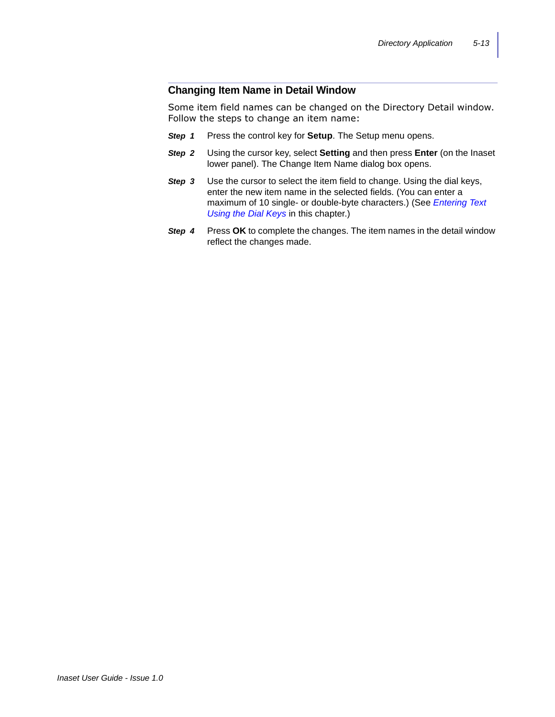# **Changing Item Name in Detail Window**

Some item field names can be changed on the Directory Detail window. Follow the steps to change an item name:

- **Step 1** Press the control key for **Setup**. The Setup menu opens.
- **Step 2** Using the cursor key, select **Setting** and then press **Enter** (on the Inaset lower panel). The Change Item Name dialog box opens.
- **Step 3** Use the cursor to select the item field to change. Using the dial keys, enter the new item name in the selected fields. (You can enter a maximum of 10 single- or double-byte characters.) (See *Entering Text* [Using the Dial Keys](#page-52-0) in this chapter.)
- **Step 4** Press **OK** to complete the changes. The item names in the detail window reflect the changes made.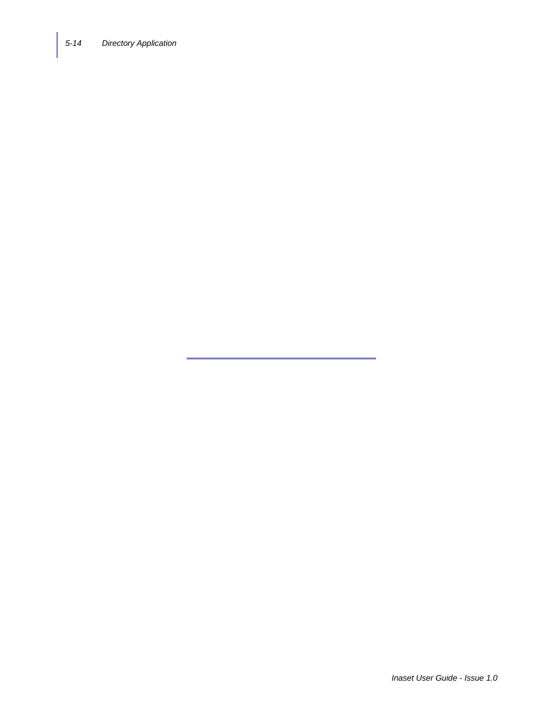# 5-14 Directory Application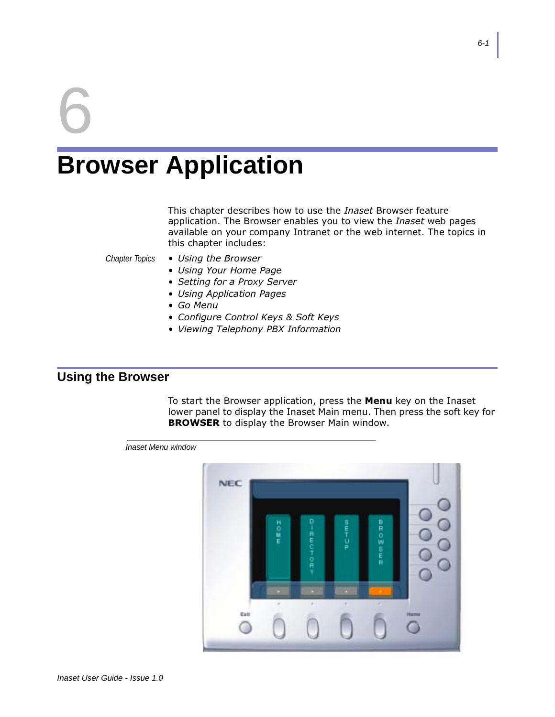# **Browser Application**

This chapter describes how to use the *Inaset* Browser feature application. The Browser enables you to view the Inaset web pages available on your company Intranet or the web internet. The topics in this chapter includes:

**Chapter Topics** 

- Using the Browser
- Using Your Home Page
- Setting for a Proxy Server
- Using Application Pages
- Go Menu
- Configure Control Keys & Soft Keys
- Viewing Telephony PBX Information

# **Using the Browser**

To start the Browser application, press the Menu key on the Inaset lower panel to display the Inaset Main menu. Then press the soft key for **BROWSER** to display the Browser Main window.

Inaset Menu window

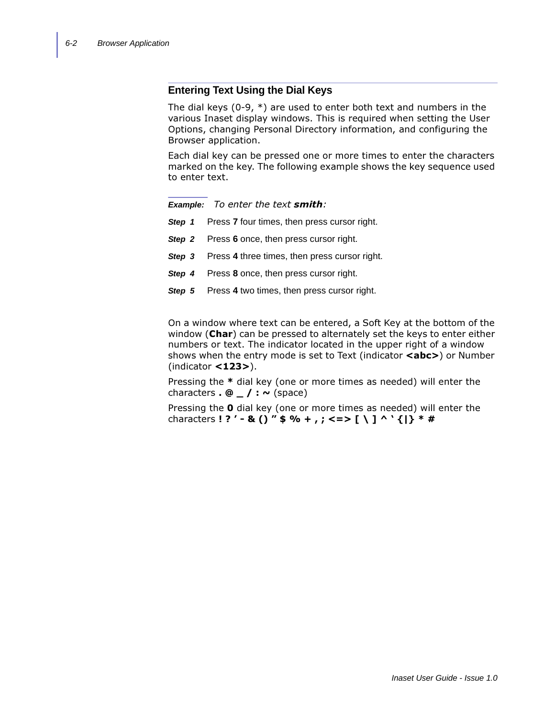# <span id="page-66-0"></span>**Entering Text Using the Dial Keys**

The dial keys (0-9,  $*$ ) are used to enter both text and numbers in the various Inaset display windows. This is required when setting the User Options, changing Personal Directory information, and configuring the Browser application.

Each dial key can be pressed one or more times to enter the characters marked on the key. The following example shows the key sequence used to enter text.

Example: To enter the text smith:

- **Step 1** Press **7** four times, then press cursor right.
- **Step 2** Press **6** once, then press cursor right.
- **Step 3** Press 4 three times, then press cursor right.
- **Step 4** Press **8** once, then press cursor right.
- **Step 5** Press 4 two times, then press cursor right.

On a window where text can be entered, a Soft Key at the bottom of the window (Char) can be pressed to alternately set the keys to enter either numbers or text. The indicator located in the upper right of a window shows when the entry mode is set to Text (indicator **<abc>**) or Number  $(indicateor **123**)$ .

Pressing the  $*$  dial key (one or more times as needed) will enter the **characters . @ \_ / : ~** (space)

Pressing the  $\theta$  dial key (one or more times as needed) will enter the **characters ! ? ' - & () " \$ % + , ; <=> [ \ ] ^ ` {|} \* #**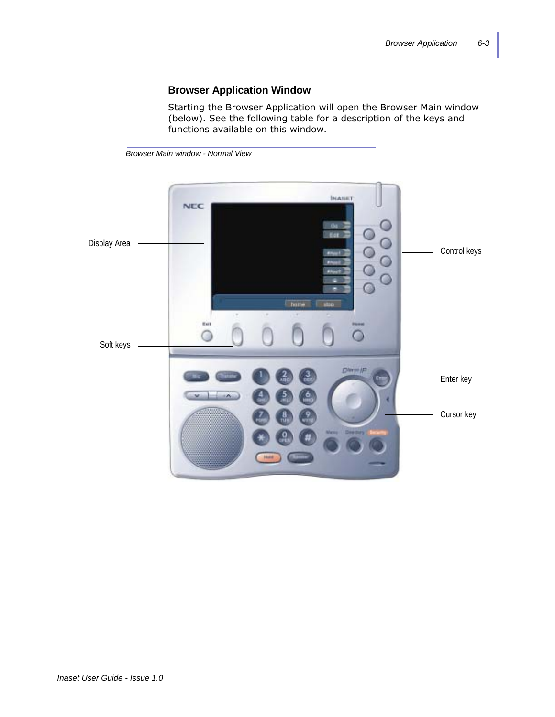# **Browser Application Window**

Starting the Browser Application will open the Browser Main window (below). See the following table for a description of the keys and functions available on this window.

**BEASET NEC** Display Area **Control keys** Display Area **Control keys** Display Area **Control keys** hame **Eatto** tion C Soft keys Diwm IP Enter key Cursor key

Browser Main window - Normal View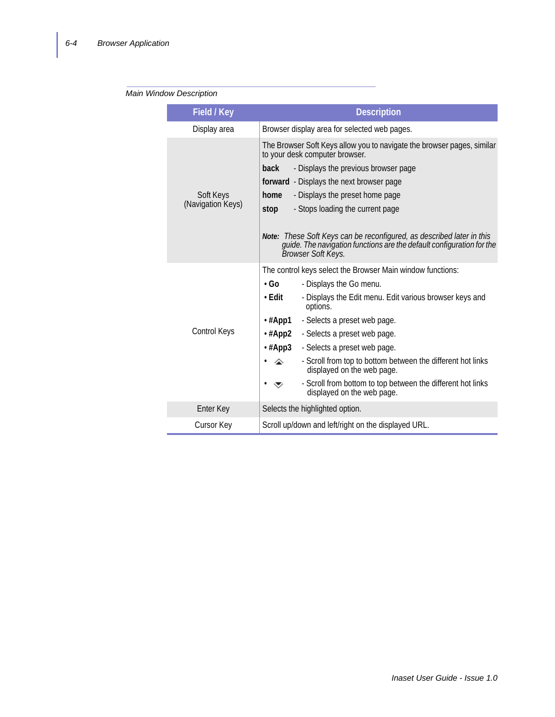## Main Window Description

| <b>Field / Key</b>  | <b>Description</b>                                                                                                                                                          |  |  |
|---------------------|-----------------------------------------------------------------------------------------------------------------------------------------------------------------------------|--|--|
| Display area        | Browser display area for selected web pages.                                                                                                                                |  |  |
|                     | The Browser Soft Keys allow you to navigate the browser pages, similar<br>to your desk computer browser.                                                                    |  |  |
|                     | back<br>- Displays the previous browser page                                                                                                                                |  |  |
|                     | forward - Displays the next browser page                                                                                                                                    |  |  |
| Soft Keys           | - Displays the preset home page<br>home                                                                                                                                     |  |  |
| (Navigation Keys)   | - Stops loading the current page<br>stop                                                                                                                                    |  |  |
|                     | Note: These Soft Keys can be reconfigured, as described later in this<br>guide. The navigation functions are the default configuration for the<br><b>Browser Soft Keys.</b> |  |  |
|                     | The control keys select the Browser Main window functions:                                                                                                                  |  |  |
|                     | $\cdot$ Go<br>- Displays the Go menu.                                                                                                                                       |  |  |
|                     | ∙ Edit<br>- Displays the Edit menu. Edit various browser keys and<br>options.                                                                                               |  |  |
|                     | $\cdot$ #App1 $\cdot$ Selects a preset web page.                                                                                                                            |  |  |
| <b>Control Keys</b> | ∙#App2<br>- Selects a preset web page.                                                                                                                                      |  |  |
|                     | ∙#App3<br>- Selects a preset web page.                                                                                                                                      |  |  |
|                     | - Scroll from top to bottom between the different hot links<br>displayed on the web page.                                                                                   |  |  |
|                     | - Scroll from bottom to top between the different hot links<br>displayed on the web page.                                                                                   |  |  |
| <b>Enter Key</b>    | Selects the highlighted option.                                                                                                                                             |  |  |
| <b>Cursor Key</b>   | Scroll up/down and left/right on the displayed URL.                                                                                                                         |  |  |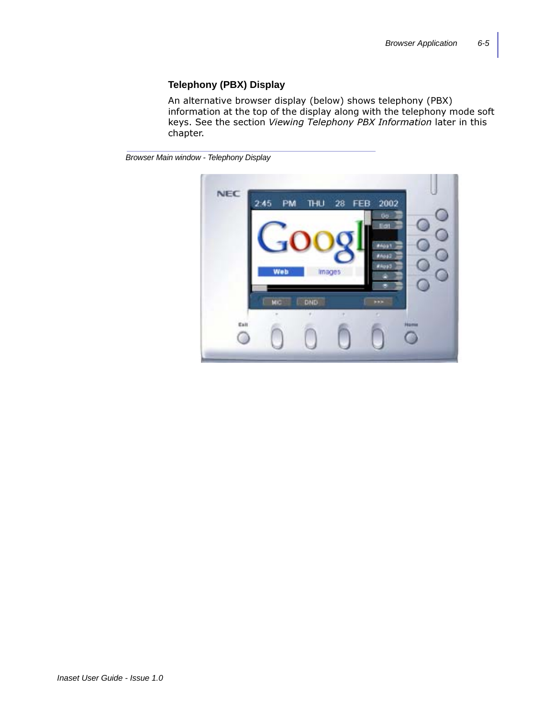# **Telephony (PBX) Display**

An alternative browser display (below) shows telephony (PBX) information at the top of the display along with the telephony mode soft keys. See the section Viewing Telephony PBX Information later in this chapter.

Browser Main window - Telephony Display

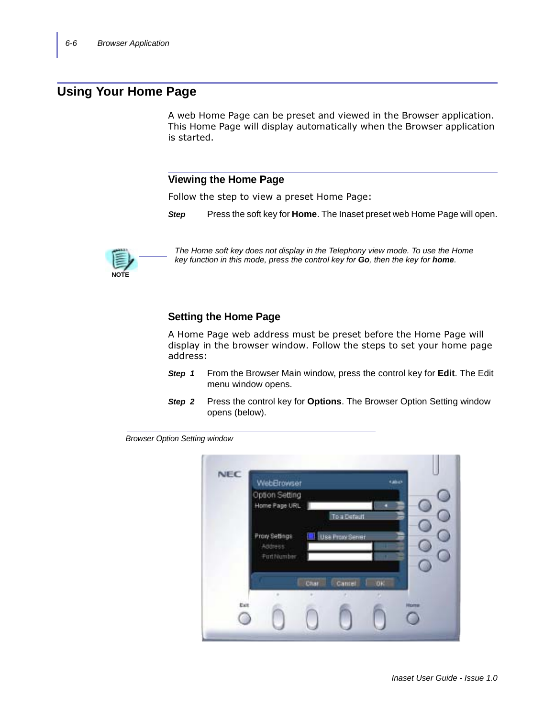# **Using Your Home Page**

A web Home Page can be preset and viewed in the Browser application. This Home Page will display automatically when the Browser application is started.

# **Viewing the Home Page**

Follow the step to view a preset Home Page:

**Step** Press the soft key for **Home**. The Inaset preset web Home Page will open.



The Home soft key does not display in the Telephony view mode. To use the Home key function in this mode, press the control key for **Go**, then the key for **home**.

# **Setting the Home Page**

A Home Page web address must be preset before the Home Page will display in the browser window. Follow the steps to set your home page address:

- **Step 1** From the Browser Main window, press the control key for **Edit**. The Edit menu window opens.
- **Step 2** Press the control key for **Options**. The Browser Option Setting window opens (below).

Browser Option Setting window

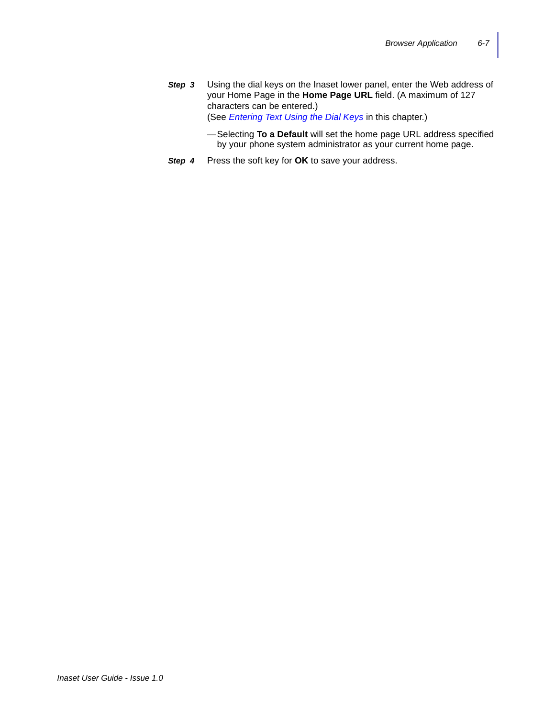- **Step 3** Using the dial keys on the Inaset lower panel, enter the Web address of your Home Page in the **Home Page URL** field. (A maximum of 127 characters can be entered.) (See *[Entering Text Using the Dial Keys](#page-66-0)* in this chapter.)
	- —Selecting **To a Default** will set the home page URL address specified by your phone system administrator as your current home page.
- **Step 4** Press the soft key for **OK** to save your address.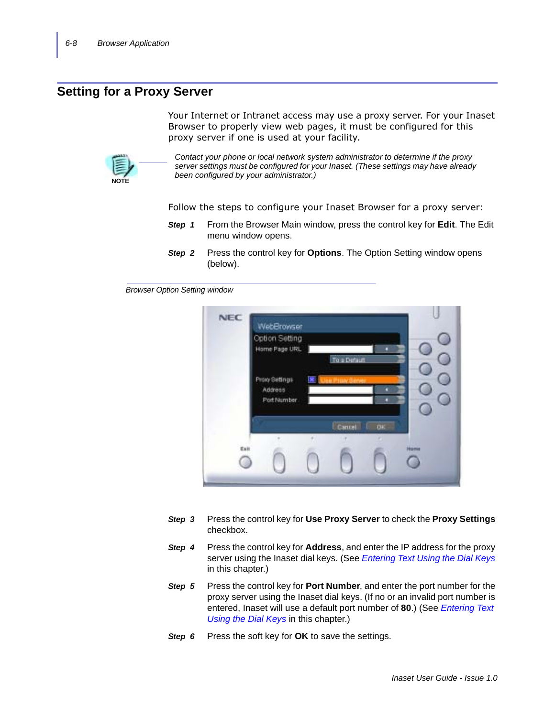### **Setting for a Proxy Server**

Your Internet or Intranet access may use a proxy server. For your Inaset Browser to properly view web pages, it must be configured for this proxy server if one is used at your facility.



Contact your phone or local network system administrator to determine if the proxy server settings must be configured for your Inaset. (These settings may have already been configured by your administrator.)

Follow the steps to configure your Inaset Browser for a proxy server:

- **Step 1** From the Browser Main window, press the control key for **Edit**. The Edit menu window opens.
- **Step 2** Press the control key for **Options**. The Option Setting window opens (below).

Browser Option Setting window



- **Step 3** Press the control key for **Use Proxy Server** to check the **Proxy Settings** checkbox.
- **Step 4** Press the control key for **Address**, and enter the IP address for the proxy server using the Inaset dial keys. (See *[Entering Text Using the Dial Keys](#page-66-0)* in this chapter.)
- **Step 5** Press the control key for **Port Number**, and enter the port number for the proxy server using the Inaset dial keys. (If no or an invalid port number is entered, Inaset will use a default port number of **80**.) (See [Entering Text](#page-66-0)  [Using the Dial Keys](#page-66-0) in this chapter.)
- **Step 6** Press the soft key for **OK** to save the settings.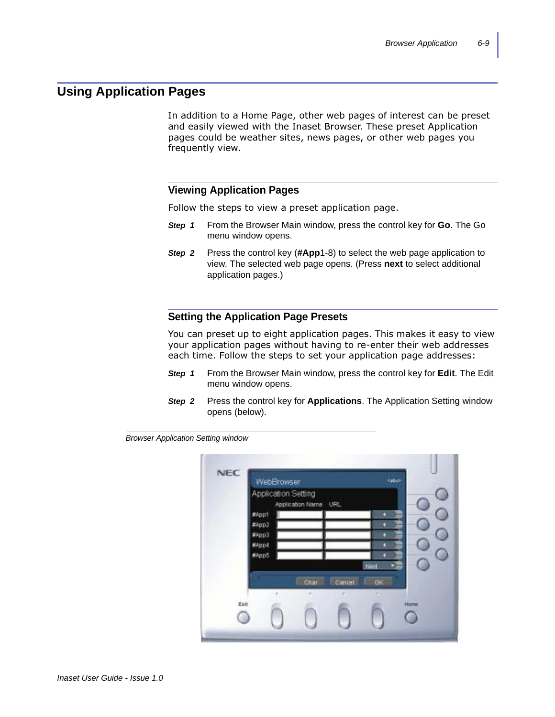## **Using Application Pages**

In addition to a Home Page, other web pages of interest can be preset and easily viewed with the Inaset Browser. These preset Application pages could be weather sites, news pages, or other web pages you frequently view.

### **Viewing Application Pages**

Follow the steps to view a preset application page.

- **Step 1** From the Browser Main window, press the control key for **Go**. The Go menu window opens.
- **Step 2** Press the control key (**#App**1-8) to select the web page application to view. The selected web page opens. (Press **next** to select additional application pages.)

### **Setting the Application Page Presets**

You can preset up to eight application pages. This makes it easy to view your application pages without having to re-enter their web addresses each time. Follow the steps to set your application page addresses:

- **Step 1** From the Browser Main window, press the control key for **Edit**. The Edit menu window opens.
- **Step 2** Press the control key for **Applications**. The Application Setting window opens (below).

Browser Application Setting window

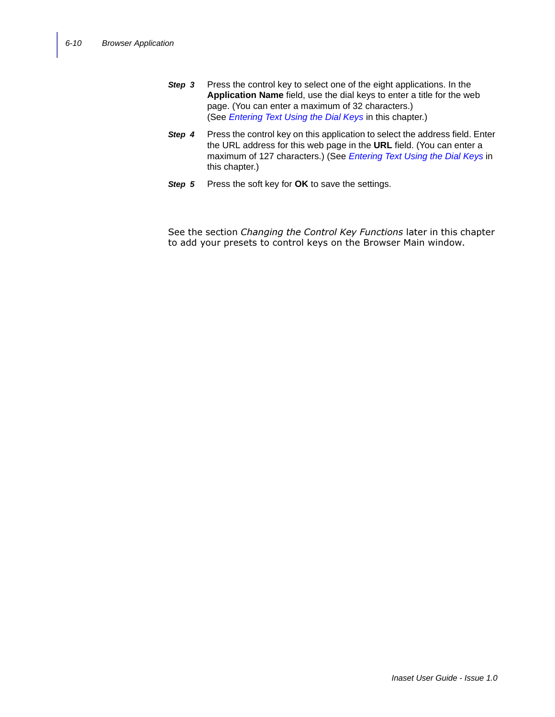- **Step 3** Press the control key to select one of the eight applications. In the **Application Name** field, use the dial keys to enter a title for the web page. (You can enter a maximum of 32 characters.) (See *[Entering Text Using the Dial Keys](#page-66-0)* in this chapter.)
- **Step 4** Press the control key on this application to select the address field. Enter the URL address for this web page in the **URL** field. (You can enter a maximum of 127 characters.) (See [Entering Text Using the Dial Keys](#page-66-0) in this chapter.)
- **Step 5** Press the soft key for **OK** to save the settings.

See the section *Changing the Control Key Functions* later in this chapter to add your presets to control keys on the Browser Main window.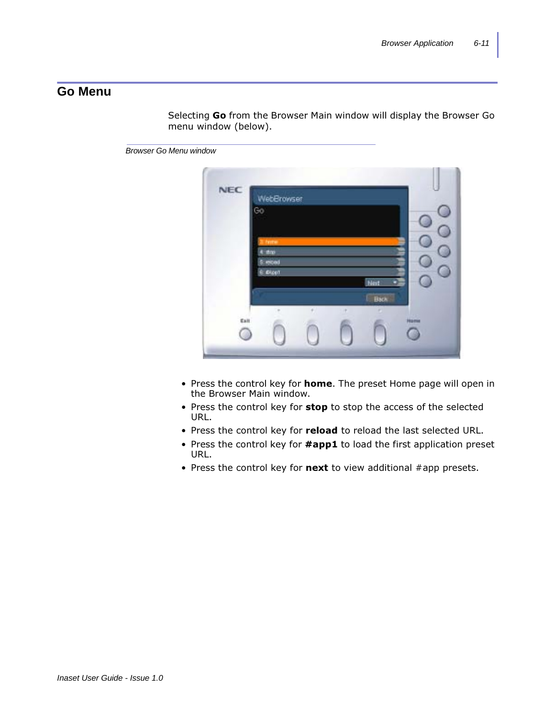# **Go Menu**

Selecting Go from the Browser Main window will display the Browser Go menu window (below).

**Browser Go Menu window** 



- Press the control key for **home**. The preset Home page will open in the Browser Main window.
- Press the control key for stop to stop the access of the selected URL.
- . Press the control key for reload to reload the last selected URL.
- Press the control key for #app1 to load the first application preset URL.
- Press the control key for next to view additional #app presets.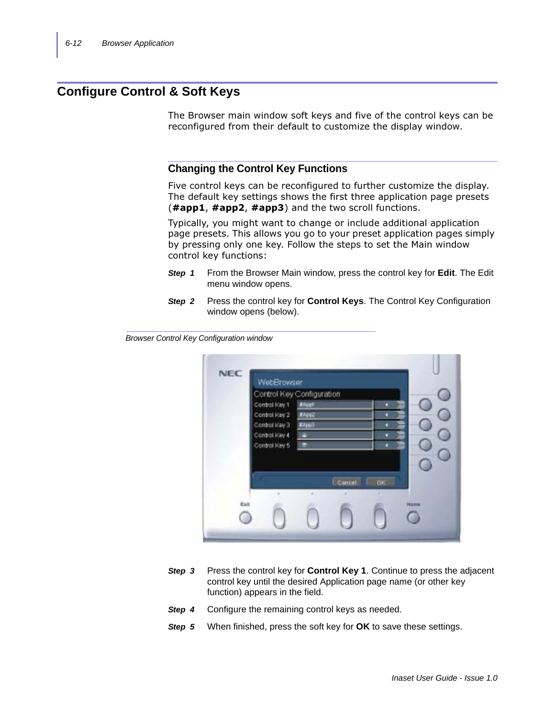# **Configure Control & Soft Keys**

The Browser main window soft keys and five of the control keys can be reconfigured from their default to customize the display window.

### **Changing the Control Key Functions**

Five control keys can be reconfigured to further customize the display. The default key settings shows the first three application page presets (#app1, #app2, #app3) and the two scroll functions.

Typically, you might want to change or include additional application page presets. This allows you go to your preset application pages simply by pressing only one key. Follow the steps to set the Main window control key functions:

- **Step 1** From the Browser Main window, press the control key for **Edit**. The Edit menu window opens.
- **Step 2** Press the control key for **Control Keys**. The Control Key Configuration window opens (below).

Browser Control Key Configuration window

| Control Key 1 | <b>Alleged</b> |            |                           |      |
|---------------|----------------|------------|---------------------------|------|
| Control Key 2 | <b>Mag</b>     |            |                           |      |
| Control Key 3 | <b>EARLY</b>   |            |                           |      |
| Control Key 4 | ×              |            |                           |      |
| Control Key 5 | ۰              |            | ٠                         |      |
|               |                | Cancel     | <b>OK</b>                 |      |
|               |                |            |                           |      |
|               |                |            |                           | Hame |
|               |                |            |                           |      |
|               | Esit           | WebBrowser | Control Key Configuration |      |

- **Step 3** Press the control key for **Control Key 1**. Continue to press the adjacent control key until the desired Application page name (or other key function) appears in the field.
- **Step 4** Configure the remaining control keys as needed.
- **Step 5** When finished, press the soft key for **OK** to save these settings.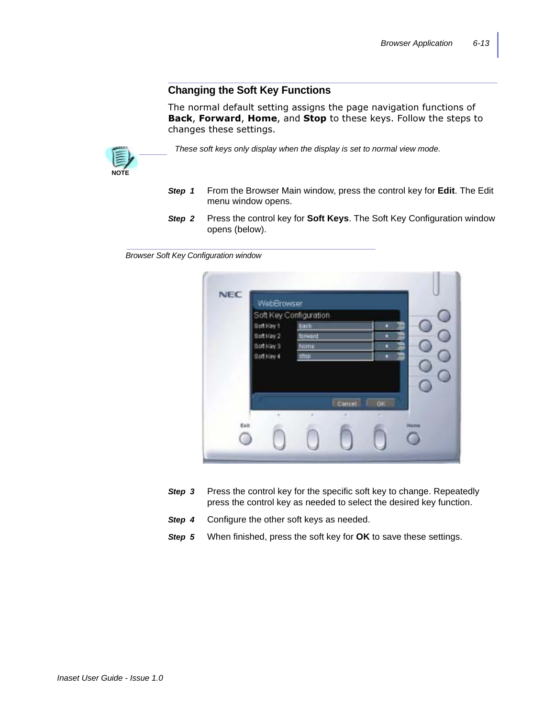#### **Changing the Soft Key Functions**

The normal default setting assigns the page navigation functions of **Back, Forward, Home,** and **Stop** to these keys. Follow the steps to changes these settings.



These soft keys only display when the display is set to normal view mode.

- **Step 1** From the Browser Main window, press the control key for **Edit**. The Edit menu window opens.
- **Step 2** Press the control key for **Soft Keys**. The Soft Key Configuration window opens (below).

Browser Soft Key Configuration window



- **Step 3** Press the control key for the specific soft key to change. Repeatedly press the control key as needed to select the desired key function.
- **Step 4** Configure the other soft keys as needed.
- **Step 5** When finished, press the soft key for **OK** to save these settings.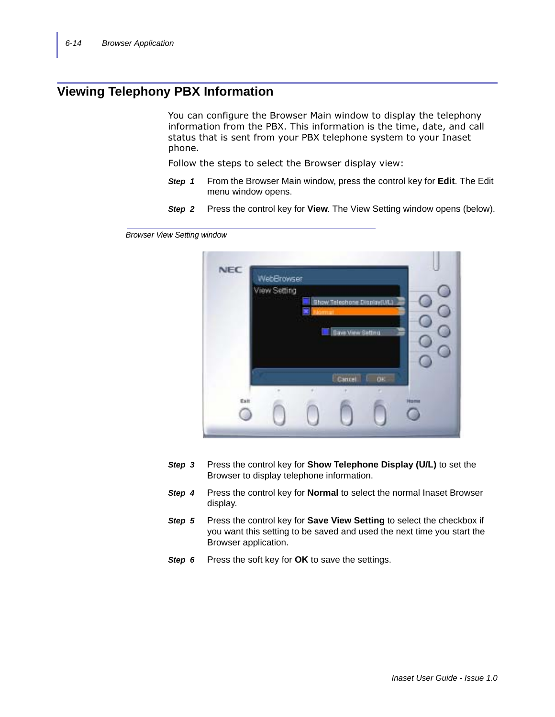### **Viewing Telephony PBX Information**

You can configure the Browser Main window to display the telephony information from the PBX. This information is the time, date, and call status that is sent from your PBX telephone system to your Inaset phone.

Follow the steps to select the Browser display view:

- **Step 1** From the Browser Main window, press the control key for **Edit**. The Edit menu window opens.
- **Step 2** Press the control key for **View**. The View Setting window opens (below).

Browser View Setting window



- **Step 3** Press the control key for **Show Telephone Display (U/L)** to set the Browser to display telephone information.
- **Step 4** Press the control key for **Normal** to select the normal Inaset Browser display.
- **Step 5** Press the control key for **Save View Setting** to select the checkbox if you want this setting to be saved and used the next time you start the Browser application.
- **Step 6** Press the soft key for **OK** to save the settings.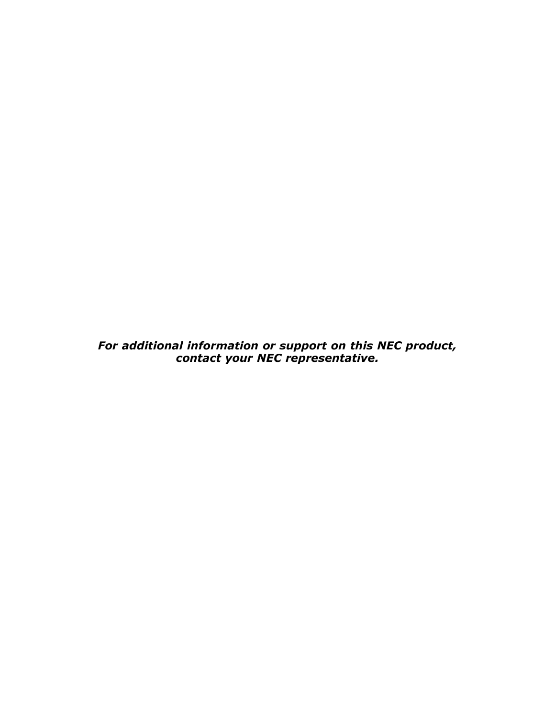For additional information or support on this NEC product,<br>contact your NEC representative.